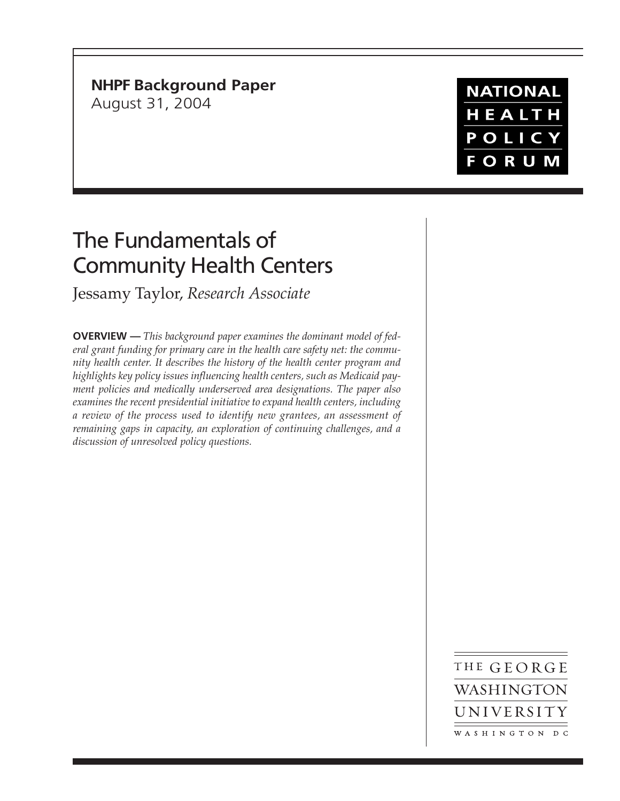# **NHPF Background Paper**

August 31, 2004

# **NATIONAL** HEALTH POLICY **FORUM**

# The Fundamentals of Community Health Centers

Jessamy Taylor, *Research Associate*

**OVERVIEW —** *This background paper examines the dominant model of federal grant funding for primary care in the health care safety net: the community health center. It describes the history of the health center program and highlights key policy issues influencing health centers, such as Medicaid payment policies and medically underserved area designations. The paper also examines the recent presidential initiative to expand health centers, including a review of the process used to identify new grantees, an assessment of remaining gaps in capacity, an exploration of continuing challenges, and a discussion of unresolved policy questions.*

> THE GEORGE WASHINGTON UNIVERSITY WASHINGTON DC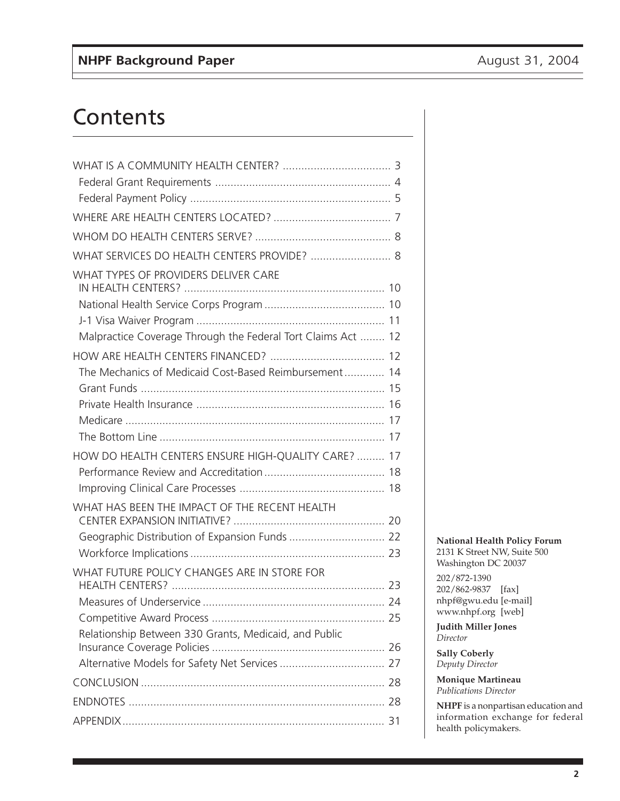# **Contents**

| WHAT SERVICES DO HEALTH CENTERS PROVIDE?  8                  |  |
|--------------------------------------------------------------|--|
| WHAT TYPES OF PROVIDERS DELIVER CARE                         |  |
|                                                              |  |
|                                                              |  |
|                                                              |  |
| Malpractice Coverage Through the Federal Tort Claims Act  12 |  |
|                                                              |  |
| The Mechanics of Medicaid Cost-Based Reimbursement 14        |  |
|                                                              |  |
|                                                              |  |
|                                                              |  |
|                                                              |  |
| HOW DO HEALTH CENTERS ENSURE HIGH-QUALITY CARE?  17          |  |
|                                                              |  |
|                                                              |  |
| WHAT HAS BEEN THE IMPACT OF THE RECENT HEALTH                |  |
|                                                              |  |
|                                                              |  |
| WHAT FUTURE POLICY CHANGES ARE IN STORE FOR                  |  |
|                                                              |  |
|                                                              |  |
| Relationship Between 330 Grants, Medicaid, and Public        |  |
|                                                              |  |
|                                                              |  |
|                                                              |  |
|                                                              |  |
|                                                              |  |

#### **National Health Policy Forum** 2131 K Street NW, Suite 500 Washington DC 20037

202/872-1390 202/862-9837 [fax] nhpf@gwu.edu [e-mail] www.nhpf.org [web]

**Judith Miller Jones** *Director*

**Sally Coberly** *Deputy Director*

**Monique Martineau** *Publications Director*

**NHPF** is a nonpartisan education and information exchange for federal health policymakers.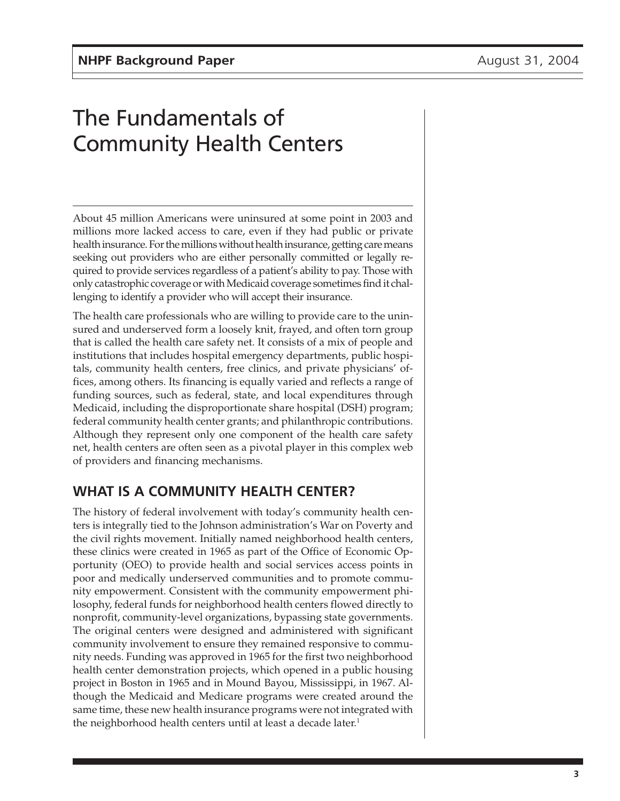# The Fundamentals of Community Health Centers

About 45 million Americans were uninsured at some point in 2003 and millions more lacked access to care, even if they had public or private health insurance. For the millions without health insurance, getting care means seeking out providers who are either personally committed or legally required to provide services regardless of a patient's ability to pay. Those with only catastrophic coverage or with Medicaid coverage sometimes find it challenging to identify a provider who will accept their insurance.

The health care professionals who are willing to provide care to the uninsured and underserved form a loosely knit, frayed, and often torn group that is called the health care safety net. It consists of a mix of people and institutions that includes hospital emergency departments, public hospitals, community health centers, free clinics, and private physicians' offices, among others. Its financing is equally varied and reflects a range of funding sources, such as federal, state, and local expenditures through Medicaid, including the disproportionate share hospital (DSH) program; federal community health center grants; and philanthropic contributions. Although they represent only one component of the health care safety net, health centers are often seen as a pivotal player in this complex web of providers and financing mechanisms.

# **WHAT IS A COMMUNITY HEALTH CENTER?**

The history of federal involvement with today's community health centers is integrally tied to the Johnson administration's War on Poverty and the civil rights movement. Initially named neighborhood health centers, these clinics were created in 1965 as part of the Office of Economic Opportunity (OEO) to provide health and social services access points in poor and medically underserved communities and to promote community empowerment. Consistent with the community empowerment philosophy, federal funds for neighborhood health centers flowed directly to nonprofit, community-level organizations, bypassing state governments. The original centers were designed and administered with significant community involvement to ensure they remained responsive to community needs. Funding was approved in 1965 for the first two neighborhood health center demonstration projects, which opened in a public housing project in Boston in 1965 and in Mound Bayou, Mississippi, in 1967. Although the Medicaid and Medicare programs were created around the same time, these new health insurance programs were not integrated with the neighborhood health centers until at least a decade later.<sup>1</sup>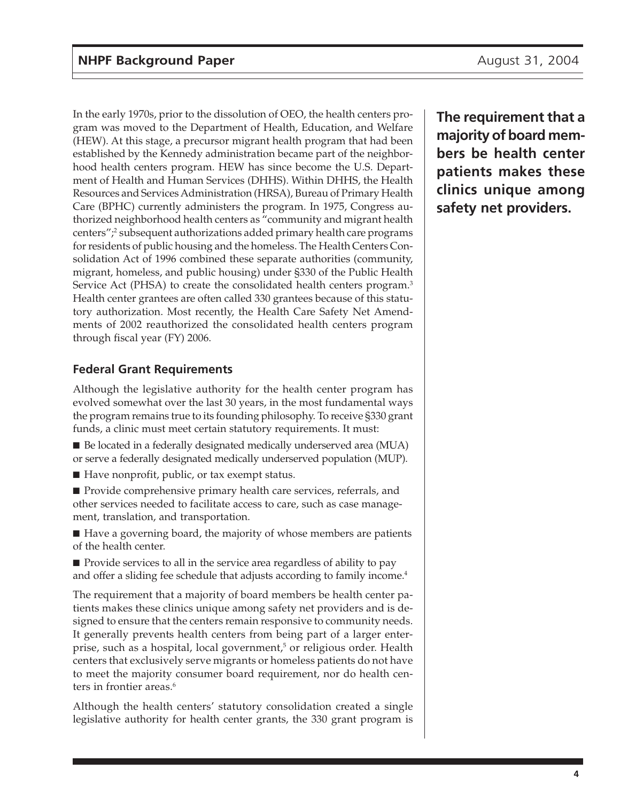In the early 1970s, prior to the dissolution of OEO, the health centers program was moved to the Department of Health, Education, and Welfare (HEW). At this stage, a precursor migrant health program that had been established by the Kennedy administration became part of the neighborhood health centers program. HEW has since become the U.S. Department of Health and Human Services (DHHS). Within DHHS, the Health Resources and Services Administration (HRSA), Bureau of Primary Health Care (BPHC) currently administers the program. In 1975, Congress authorized neighborhood health centers as "community and migrant health centers";<sup>2</sup> subsequent authorizations added primary health care programs for residents of public housing and the homeless. The Health Centers Consolidation Act of 1996 combined these separate authorities (community, migrant, homeless, and public housing) under §330 of the Public Health Service Act (PHSA) to create the consolidated health centers program.<sup>3</sup> Health center grantees are often called 330 grantees because of this statutory authorization. Most recently, the Health Care Safety Net Amendments of 2002 reauthorized the consolidated health centers program through fiscal year (FY) 2006.

## **Federal Grant Requirements**

Although the legislative authority for the health center program has evolved somewhat over the last 30 years, in the most fundamental ways the program remains true to its founding philosophy. To receive §330 grant funds, a clinic must meet certain statutory requirements. It must:

■ Be located in a federally designated medically underserved area (MUA) or serve a federally designated medically underserved population (MUP).

■ Have nonprofit, public, or tax exempt status.

■ Provide comprehensive primary health care services, referrals, and other services needed to facilitate access to care, such as case management, translation, and transportation.

■ Have a governing board, the majority of whose members are patients of the health center.

■ Provide services to all in the service area regardless of ability to pay and offer a sliding fee schedule that adjusts according to family income.<sup>4</sup>

The requirement that a majority of board members be health center patients makes these clinics unique among safety net providers and is designed to ensure that the centers remain responsive to community needs. It generally prevents health centers from being part of a larger enterprise, such as a hospital, local government,<sup>5</sup> or religious order. Health centers that exclusively serve migrants or homeless patients do not have to meet the majority consumer board requirement, nor do health centers in frontier areas.<sup>6</sup>

Although the health centers' statutory consolidation created a single legislative authority for health center grants, the 330 grant program is **The requirement that a majority of board members be health center patients makes these clinics unique among safety net providers.**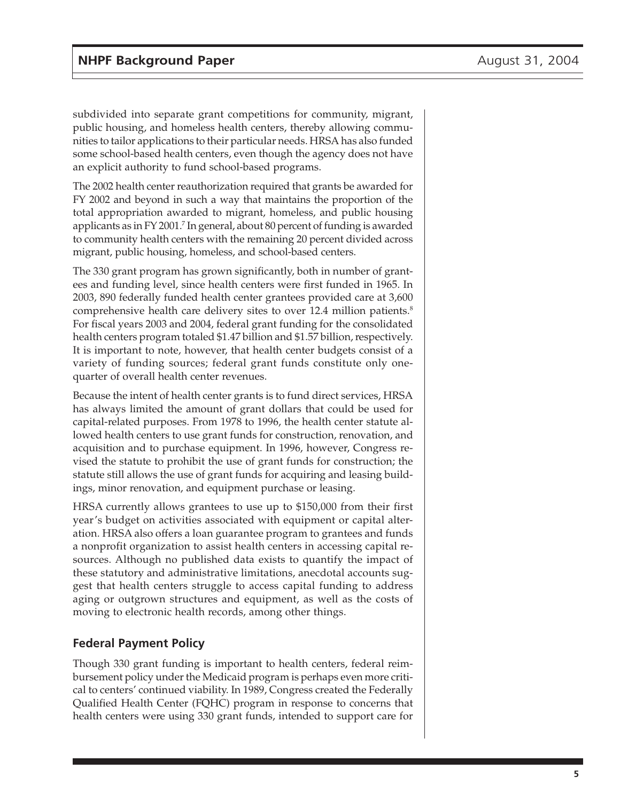subdivided into separate grant competitions for community, migrant, public housing, and homeless health centers, thereby allowing communities to tailor applications to their particular needs. HRSA has also funded some school-based health centers, even though the agency does not have an explicit authority to fund school-based programs.

The 2002 health center reauthorization required that grants be awarded for FY 2002 and beyond in such a way that maintains the proportion of the total appropriation awarded to migrant, homeless, and public housing applicants as in FY 2001.7 In general, about 80 percent of funding is awarded to community health centers with the remaining 20 percent divided across migrant, public housing, homeless, and school-based centers.

The 330 grant program has grown significantly, both in number of grantees and funding level, since health centers were first funded in 1965. In 2003, 890 federally funded health center grantees provided care at 3,600 comprehensive health care delivery sites to over 12.4 million patients.<sup>8</sup> For fiscal years 2003 and 2004, federal grant funding for the consolidated health centers program totaled \$1.47 billion and \$1.57 billion, respectively. It is important to note, however, that health center budgets consist of a variety of funding sources; federal grant funds constitute only onequarter of overall health center revenues.

Because the intent of health center grants is to fund direct services, HRSA has always limited the amount of grant dollars that could be used for capital-related purposes. From 1978 to 1996, the health center statute allowed health centers to use grant funds for construction, renovation, and acquisition and to purchase equipment. In 1996, however, Congress revised the statute to prohibit the use of grant funds for construction; the statute still allows the use of grant funds for acquiring and leasing buildings, minor renovation, and equipment purchase or leasing.

HRSA currently allows grantees to use up to \$150,000 from their first year's budget on activities associated with equipment or capital alteration. HRSA also offers a loan guarantee program to grantees and funds a nonprofit organization to assist health centers in accessing capital resources. Although no published data exists to quantify the impact of these statutory and administrative limitations, anecdotal accounts suggest that health centers struggle to access capital funding to address aging or outgrown structures and equipment, as well as the costs of moving to electronic health records, among other things.

#### **Federal Payment Policy**

Though 330 grant funding is important to health centers, federal reimbursement policy under the Medicaid program is perhaps even more critical to centers' continued viability. In 1989, Congress created the Federally Qualified Health Center (FQHC) program in response to concerns that health centers were using 330 grant funds, intended to support care for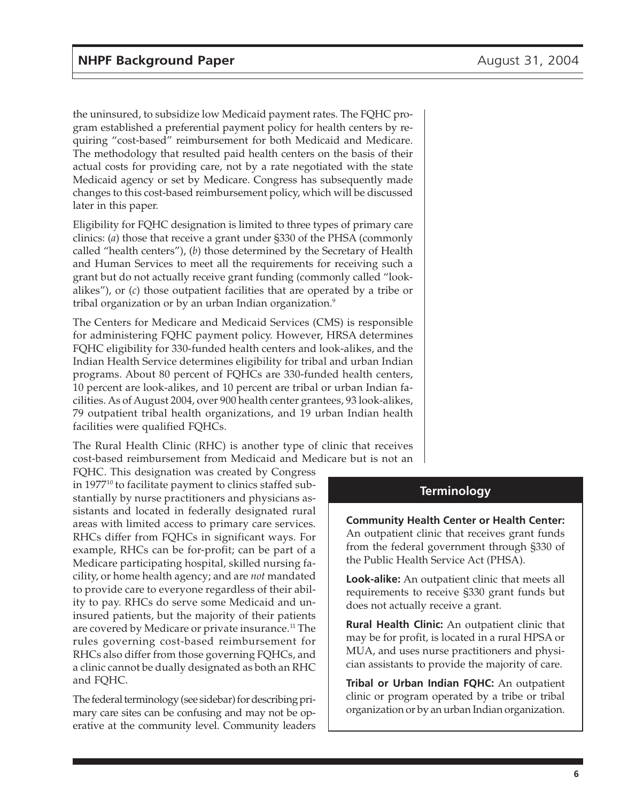the uninsured, to subsidize low Medicaid payment rates. The FQHC program established a preferential payment policy for health centers by requiring "cost-based" reimbursement for both Medicaid and Medicare. The methodology that resulted paid health centers on the basis of their actual costs for providing care, not by a rate negotiated with the state Medicaid agency or set by Medicare. Congress has subsequently made changes to this cost-based reimbursement policy, which will be discussed later in this paper.

Eligibility for FQHC designation is limited to three types of primary care clinics: (*a*) those that receive a grant under §330 of the PHSA (commonly called "health centers"), (*b*) those determined by the Secretary of Health and Human Services to meet all the requirements for receiving such a grant but do not actually receive grant funding (commonly called "lookalikes"), or (*c*) those outpatient facilities that are operated by a tribe or tribal organization or by an urban Indian organization.9

The Centers for Medicare and Medicaid Services (CMS) is responsible for administering FQHC payment policy. However, HRSA determines FQHC eligibility for 330-funded health centers and look-alikes, and the Indian Health Service determines eligibility for tribal and urban Indian programs. About 80 percent of FQHCs are 330-funded health centers, 10 percent are look-alikes, and 10 percent are tribal or urban Indian facilities. As of August 2004, over 900 health center grantees, 93 look-alikes, 79 outpatient tribal health organizations, and 19 urban Indian health facilities were qualified FQHCs.

The Rural Health Clinic (RHC) is another type of clinic that receives cost-based reimbursement from Medicaid and Medicare but is not an

FQHC. This designation was created by Congress in  $1977^{10}$  to facilitate payment to clinics staffed substantially by nurse practitioners and physicians assistants and located in federally designated rural areas with limited access to primary care services. RHCs differ from FQHCs in significant ways. For example, RHCs can be for-profit; can be part of a Medicare participating hospital, skilled nursing facility, or home health agency; and are *not* mandated to provide care to everyone regardless of their ability to pay. RHCs do serve some Medicaid and uninsured patients, but the majority of their patients are covered by Medicare or private insurance.<sup>11</sup> The rules governing cost-based reimbursement for RHCs also differ from those governing FQHCs, and a clinic cannot be dually designated as both an RHC and FQHC.

The federal terminology (see sidebar) for describing primary care sites can be confusing and may not be operative at the community level. Community leaders

#### **Terminology**

**Community Health Center or Health Center:** An outpatient clinic that receives grant funds from the federal government through §330 of the Public Health Service Act (PHSA).

**Look-alike:** An outpatient clinic that meets all requirements to receive §330 grant funds but does not actually receive a grant.

**Rural Health Clinic:** An outpatient clinic that may be for profit, is located in a rural HPSA or MUA, and uses nurse practitioners and physician assistants to provide the majority of care.

**Tribal or Urban Indian FQHC:** An outpatient clinic or program operated by a tribe or tribal organization or by an urban Indian organization.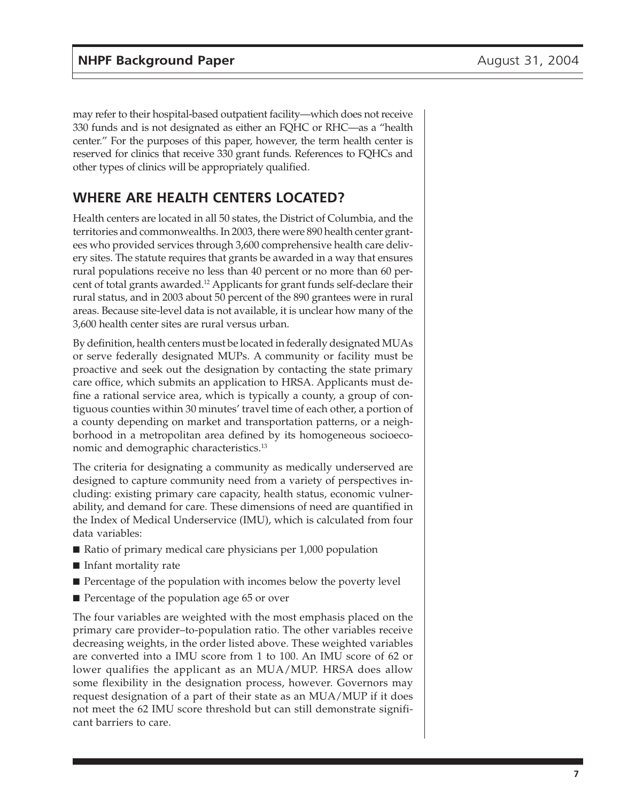may refer to their hospital-based outpatient facility—which does not receive 330 funds and is not designated as either an FQHC or RHC—as a "health center." For the purposes of this paper, however, the term health center is reserved for clinics that receive 330 grant funds. References to FQHCs and other types of clinics will be appropriately qualified.

# **WHERE ARE HEALTH CENTERS LOCATED?**

Health centers are located in all 50 states, the District of Columbia, and the territories and commonwealths. In 2003, there were 890 health center grantees who provided services through 3,600 comprehensive health care delivery sites. The statute requires that grants be awarded in a way that ensures rural populations receive no less than 40 percent or no more than 60 percent of total grants awarded.12 Applicants for grant funds self-declare their rural status, and in 2003 about 50 percent of the 890 grantees were in rural areas. Because site-level data is not available, it is unclear how many of the 3,600 health center sites are rural versus urban.

By definition, health centers must be located in federally designated MUAs or serve federally designated MUPs. A community or facility must be proactive and seek out the designation by contacting the state primary care office, which submits an application to HRSA. Applicants must define a rational service area, which is typically a county, a group of contiguous counties within 30 minutes' travel time of each other, a portion of a county depending on market and transportation patterns, or a neighborhood in a metropolitan area defined by its homogeneous socioeconomic and demographic characteristics.<sup>13</sup>

The criteria for designating a community as medically underserved are designed to capture community need from a variety of perspectives including: existing primary care capacity, health status, economic vulnerability, and demand for care. These dimensions of need are quantified in the Index of Medical Underservice (IMU), which is calculated from four data variables:

- Ratio of primary medical care physicians per 1,000 population
- Infant mortality rate
- Percentage of the population with incomes below the poverty level
- Percentage of the population age 65 or over

The four variables are weighted with the most emphasis placed on the primary care provider–to-population ratio. The other variables receive decreasing weights, in the order listed above. These weighted variables are converted into a IMU score from 1 to 100. An IMU score of 62 or lower qualifies the applicant as an MUA/MUP. HRSA does allow some flexibility in the designation process, however. Governors may request designation of a part of their state as an MUA/MUP if it does not meet the 62 IMU score threshold but can still demonstrate significant barriers to care.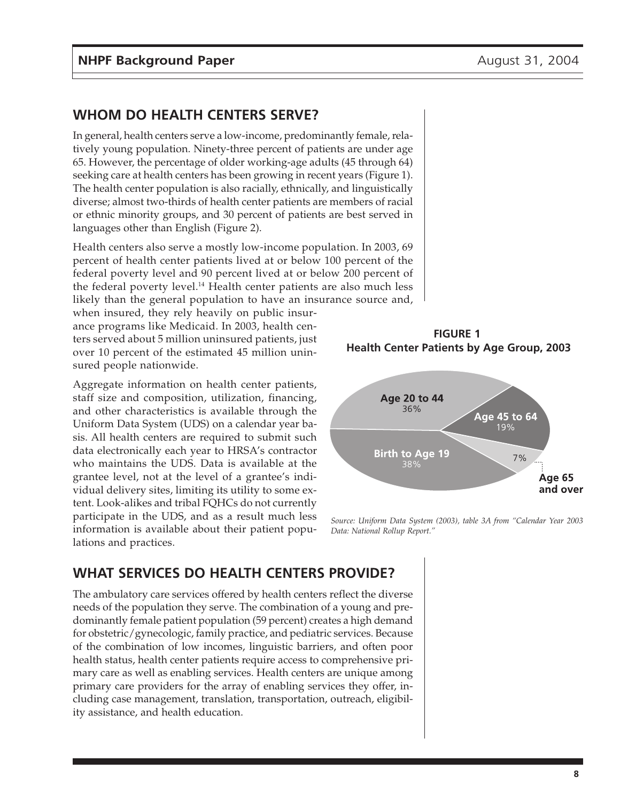# **WHOM DO HEALTH CENTERS SERVE?**

In general, health centers serve a low-income, predominantly female, relatively young population. Ninety-three percent of patients are under age 65. However, the percentage of older working-age adults (45 through 64) seeking care at health centers has been growing in recent years (Figure 1). The health center population is also racially, ethnically, and linguistically diverse; almost two-thirds of health center patients are members of racial or ethnic minority groups, and 30 percent of patients are best served in languages other than English (Figure 2).

Health centers also serve a mostly low-income population. In 2003, 69 percent of health center patients lived at or below 100 percent of the federal poverty level and 90 percent lived at or below 200 percent of the federal poverty level.<sup>14</sup> Health center patients are also much less likely than the general population to have an insurance source and,

when insured, they rely heavily on public insurance programs like Medicaid. In 2003, health centers served about 5 million uninsured patients, just over 10 percent of the estimated 45 million uninsured people nationwide.

Aggregate information on health center patients, staff size and composition, utilization, financing, and other characteristics is available through the Uniform Data System (UDS) on a calendar year basis. All health centers are required to submit such data electronically each year to HRSA's contractor who maintains the UDS. Data is available at the grantee level, not at the level of a grantee's individual delivery sites, limiting its utility to some extent. Look-alikes and tribal FQHCs do not currently participate in the UDS, and as a result much less information is available about their patient populations and practices.

**FIGURE 1 Health Center Patients by Age Group, 2003**



*Source: Uniform Data System (2003), table 3A from "Calendar Year 2003 Data: National Rollup Report."*

# **WHAT SERVICES DO HEALTH CENTERS PROVIDE?**

The ambulatory care services offered by health centers reflect the diverse needs of the population they serve. The combination of a young and predominantly female patient population (59 percent) creates a high demand for obstetric/gynecologic, family practice, and pediatric services. Because of the combination of low incomes, linguistic barriers, and often poor health status, health center patients require access to comprehensive primary care as well as enabling services. Health centers are unique among primary care providers for the array of enabling services they offer, including case management, translation, transportation, outreach, eligibility assistance, and health education.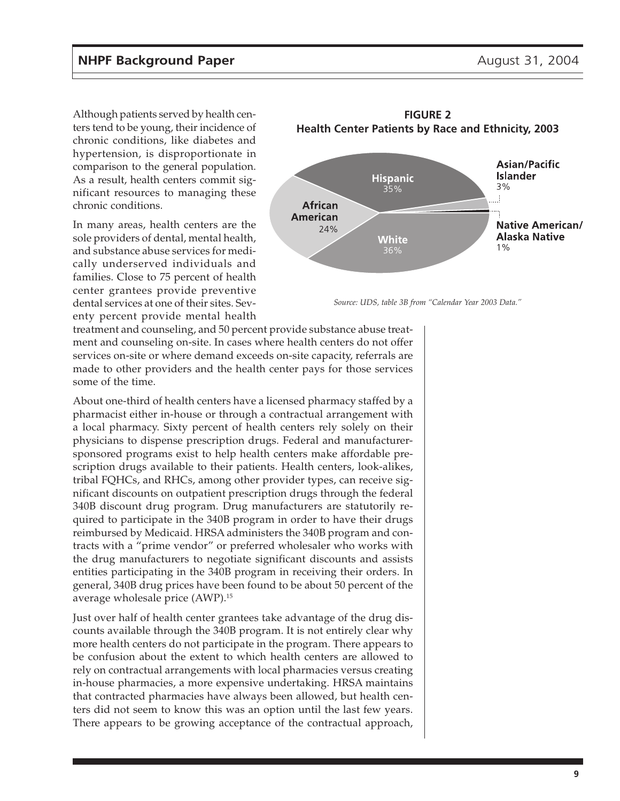Although patients served by health centers tend to be young, their incidence of chronic conditions, like diabetes and hypertension, is disproportionate in comparison to the general population. As a result, health centers commit significant resources to managing these chronic conditions.

In many areas, health centers are the sole providers of dental, mental health, and substance abuse services for medically underserved individuals and families. Close to 75 percent of health center grantees provide preventive dental services at one of their sites. Seventy percent provide mental health



**FIGURE 2 Health Center Patients by Race and Ethnicity, 2003**

*Source: UDS, table 3B from "Calendar Year 2003 Data."*

treatment and counseling, and 50 percent provide substance abuse treatment and counseling on-site. In cases where health centers do not offer services on-site or where demand exceeds on-site capacity, referrals are made to other providers and the health center pays for those services some of the time.

About one-third of health centers have a licensed pharmacy staffed by a pharmacist either in-house or through a contractual arrangement with a local pharmacy. Sixty percent of health centers rely solely on their physicians to dispense prescription drugs. Federal and manufacturersponsored programs exist to help health centers make affordable prescription drugs available to their patients. Health centers, look-alikes, tribal FQHCs, and RHCs, among other provider types, can receive significant discounts on outpatient prescription drugs through the federal 340B discount drug program. Drug manufacturers are statutorily required to participate in the 340B program in order to have their drugs reimbursed by Medicaid. HRSA administers the 340B program and contracts with a "prime vendor" or preferred wholesaler who works with the drug manufacturers to negotiate significant discounts and assists entities participating in the 340B program in receiving their orders. In general, 340B drug prices have been found to be about 50 percent of the average wholesale price (AWP).15

Just over half of health center grantees take advantage of the drug discounts available through the 340B program. It is not entirely clear why more health centers do not participate in the program. There appears to be confusion about the extent to which health centers are allowed to rely on contractual arrangements with local pharmacies versus creating in-house pharmacies, a more expensive undertaking. HRSA maintains that contracted pharmacies have always been allowed, but health centers did not seem to know this was an option until the last few years. There appears to be growing acceptance of the contractual approach,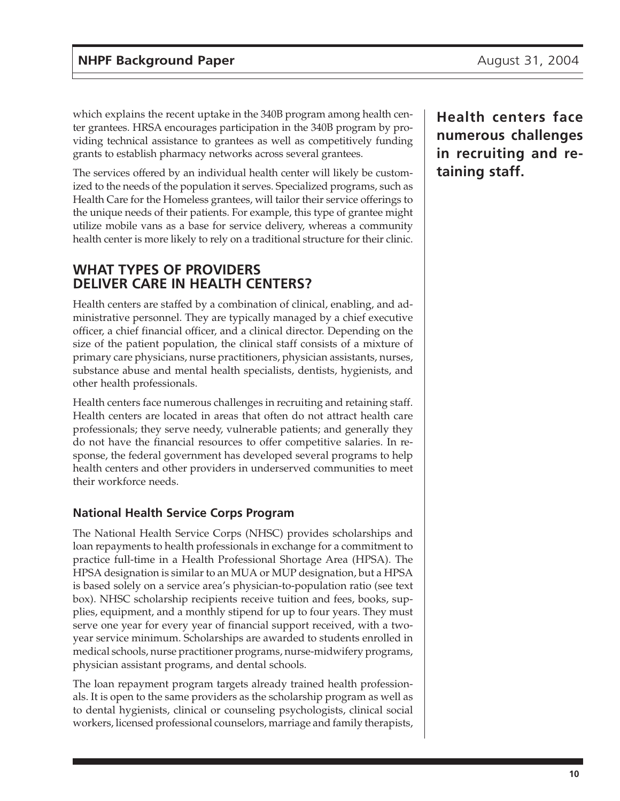which explains the recent uptake in the 340B program among health center grantees. HRSA encourages participation in the 340B program by providing technical assistance to grantees as well as competitively funding grants to establish pharmacy networks across several grantees.

The services offered by an individual health center will likely be customized to the needs of the population it serves. Specialized programs, such as Health Care for the Homeless grantees, will tailor their service offerings to the unique needs of their patients. For example, this type of grantee might utilize mobile vans as a base for service delivery, whereas a community health center is more likely to rely on a traditional structure for their clinic.

## **WHAT TYPES OF PROVIDERS DELIVER CARE IN HEALTH CENTERS?**

Health centers are staffed by a combination of clinical, enabling, and administrative personnel. They are typically managed by a chief executive officer, a chief financial officer, and a clinical director. Depending on the size of the patient population, the clinical staff consists of a mixture of primary care physicians, nurse practitioners, physician assistants, nurses, substance abuse and mental health specialists, dentists, hygienists, and other health professionals.

Health centers face numerous challenges in recruiting and retaining staff. Health centers are located in areas that often do not attract health care professionals; they serve needy, vulnerable patients; and generally they do not have the financial resources to offer competitive salaries. In response, the federal government has developed several programs to help health centers and other providers in underserved communities to meet their workforce needs.

### **National Health Service Corps Program**

The National Health Service Corps (NHSC) provides scholarships and loan repayments to health professionals in exchange for a commitment to practice full-time in a Health Professional Shortage Area (HPSA). The HPSA designation is similar to an MUA or MUP designation, but a HPSA is based solely on a service area's physician-to-population ratio (see text box). NHSC scholarship recipients receive tuition and fees, books, supplies, equipment, and a monthly stipend for up to four years. They must serve one year for every year of financial support received, with a twoyear service minimum. Scholarships are awarded to students enrolled in medical schools, nurse practitioner programs, nurse-midwifery programs, physician assistant programs, and dental schools.

The loan repayment program targets already trained health professionals. It is open to the same providers as the scholarship program as well as to dental hygienists, clinical or counseling psychologists, clinical social workers, licensed professional counselors, marriage and family therapists, **Health centers face numerous challenges in recruiting and retaining staff.**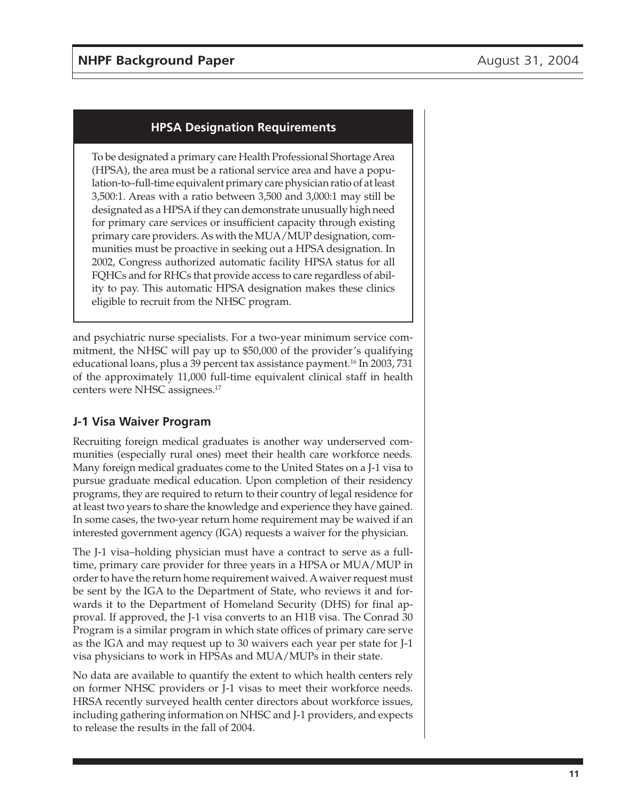## **HPSA Designation Requirements**

To be designated a primary care Health Professional Shortage Area (HPSA), the area must be a rational service area and have a population-to–full-time equivalent primary care physician ratio of at least 3,500:1. Areas with a ratio between 3,500 and 3,000:1 may still be designated as a HPSA if they can demonstrate unusually high need for primary care services or insufficient capacity through existing primary care providers. As with the MUA/MUP designation, communities must be proactive in seeking out a HPSA designation. In 2002, Congress authorized automatic facility HPSA status for all FQHCs and for RHCs that provide access to care regardless of ability to pay. This automatic HPSA designation makes these clinics eligible to recruit from the NHSC program.

and psychiatric nurse specialists. For a two-year minimum service commitment, the NHSC will pay up to \$50,000 of the provider's qualifying educational loans, plus a 39 percent tax assistance payment.<sup>16</sup> In 2003, 731 of the approximately 11,000 full-time equivalent clinical staff in health centers were NHSC assignees.<sup>17</sup>

### **J-1 Visa Waiver Program**

Recruiting foreign medical graduates is another way underserved communities (especially rural ones) meet their health care workforce needs. Many foreign medical graduates come to the United States on a J-1 visa to pursue graduate medical education. Upon completion of their residency programs, they are required to return to their country of legal residence for at least two years to share the knowledge and experience they have gained. In some cases, the two-year return home requirement may be waived if an interested government agency (IGA) requests a waiver for the physician.

The J-1 visa–holding physician must have a contract to serve as a fulltime, primary care provider for three years in a HPSA or MUA/MUP in order to have the return home requirement waived. A waiver request must be sent by the IGA to the Department of State, who reviews it and forwards it to the Department of Homeland Security (DHS) for final approval. If approved, the J-1 visa converts to an H1B visa. The Conrad 30 Program is a similar program in which state offices of primary care serve as the IGA and may request up to 30 waivers each year per state for J-1 visa physicians to work in HPSAs and MUA/MUPs in their state.

No data are available to quantify the extent to which health centers rely on former NHSC providers or J-1 visas to meet their workforce needs. HRSA recently surveyed health center directors about workforce issues, including gathering information on NHSC and J-1 providers, and expects to release the results in the fall of 2004.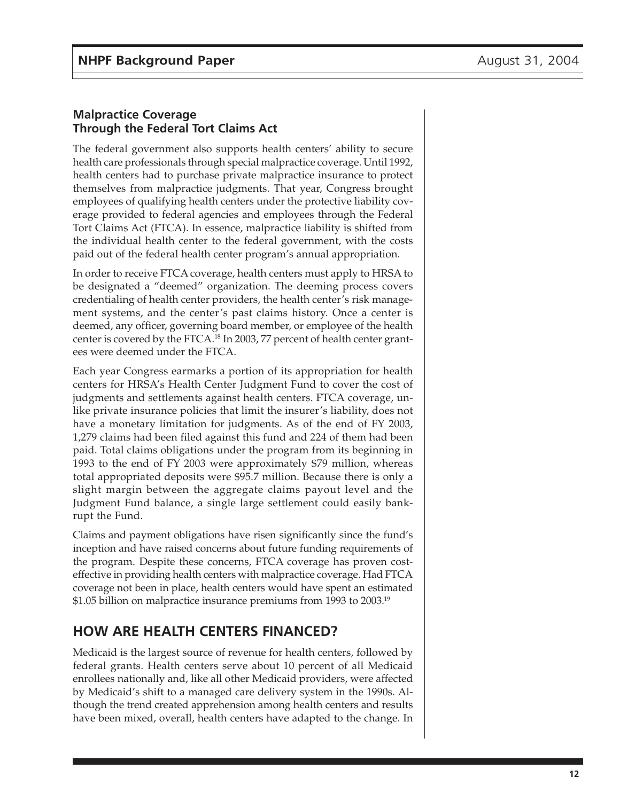#### **Malpractice Coverage Through the Federal Tort Claims Act**

The federal government also supports health centers' ability to secure health care professionals through special malpractice coverage. Until 1992, health centers had to purchase private malpractice insurance to protect themselves from malpractice judgments. That year, Congress brought employees of qualifying health centers under the protective liability coverage provided to federal agencies and employees through the Federal Tort Claims Act (FTCA). In essence, malpractice liability is shifted from the individual health center to the federal government, with the costs paid out of the federal health center program's annual appropriation.

In order to receive FTCA coverage, health centers must apply to HRSA to be designated a "deemed" organization. The deeming process covers credentialing of health center providers, the health center's risk management systems, and the center's past claims history. Once a center is deemed, any officer, governing board member, or employee of the health center is covered by the FTCA.<sup>18</sup> In 2003, 77 percent of health center grantees were deemed under the FTCA.

Each year Congress earmarks a portion of its appropriation for health centers for HRSA's Health Center Judgment Fund to cover the cost of judgments and settlements against health centers. FTCA coverage, unlike private insurance policies that limit the insurer's liability, does not have a monetary limitation for judgments. As of the end of FY 2003, 1,279 claims had been filed against this fund and 224 of them had been paid. Total claims obligations under the program from its beginning in 1993 to the end of FY 2003 were approximately \$79 million, whereas total appropriated deposits were \$95.7 million. Because there is only a slight margin between the aggregate claims payout level and the Judgment Fund balance, a single large settlement could easily bankrupt the Fund.

Claims and payment obligations have risen significantly since the fund's inception and have raised concerns about future funding requirements of the program. Despite these concerns, FTCA coverage has proven costeffective in providing health centers with malpractice coverage. Had FTCA coverage not been in place, health centers would have spent an estimated \$1.05 billion on malpractice insurance premiums from 1993 to 2003.<sup>19</sup>

# **HOW ARE HEALTH CENTERS FINANCED?**

Medicaid is the largest source of revenue for health centers, followed by federal grants. Health centers serve about 10 percent of all Medicaid enrollees nationally and, like all other Medicaid providers, were affected by Medicaid's shift to a managed care delivery system in the 1990s. Although the trend created apprehension among health centers and results have been mixed, overall, health centers have adapted to the change. In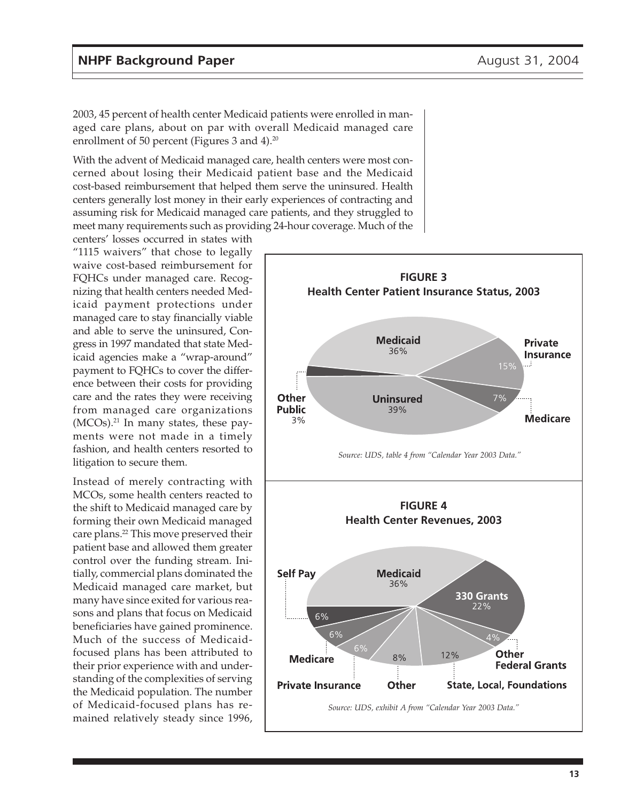2003, 45 percent of health center Medicaid patients were enrolled in managed care plans, about on par with overall Medicaid managed care enrollment of 50 percent (Figures 3 and 4).<sup>20</sup>

With the advent of Medicaid managed care, health centers were most concerned about losing their Medicaid patient base and the Medicaid cost-based reimbursement that helped them serve the uninsured. Health centers generally lost money in their early experiences of contracting and assuming risk for Medicaid managed care patients, and they struggled to meet many requirements such as providing 24-hour coverage. Much of the

centers' losses occurred in states with "1115 waivers" that chose to legally waive cost-based reimbursement for FQHCs under managed care. Recognizing that health centers needed Medicaid payment protections under managed care to stay financially viable and able to serve the uninsured, Congress in 1997 mandated that state Medicaid agencies make a "wrap-around" payment to FQHCs to cover the difference between their costs for providing care and the rates they were receiving from managed care organizations  $(MCOs).<sup>21</sup>$  In many states, these payments were not made in a timely fashion, and health centers resorted to litigation to secure them.

Instead of merely contracting with MCOs, some health centers reacted to the shift to Medicaid managed care by forming their own Medicaid managed care plans.<sup>22</sup> This move preserved their patient base and allowed them greater control over the funding stream. Initially, commercial plans dominated the Medicaid managed care market, but many have since exited for various reasons and plans that focus on Medicaid beneficiaries have gained prominence. Much of the success of Medicaidfocused plans has been attributed to their prior experience with and understanding of the complexities of serving the Medicaid population. The number of Medicaid-focused plans has remained relatively steady since 1996,

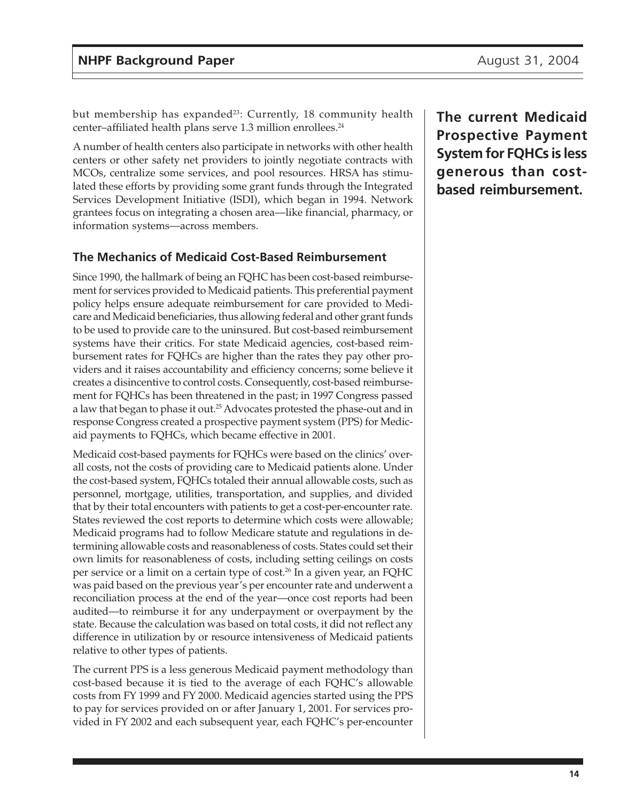but membership has expanded<sup>23</sup>: Currently, 18 community health center-affiliated health plans serve 1.3 million enrollees.<sup>24</sup>

A number of health centers also participate in networks with other health centers or other safety net providers to jointly negotiate contracts with MCOs, centralize some services, and pool resources. HRSA has stimulated these efforts by providing some grant funds through the Integrated Services Development Initiative (ISDI), which began in 1994. Network grantees focus on integrating a chosen area—like financial, pharmacy, or information systems—across members.

#### **The Mechanics of Medicaid Cost-Based Reimbursement**

Since 1990, the hallmark of being an FQHC has been cost-based reimbursement for services provided to Medicaid patients. This preferential payment policy helps ensure adequate reimbursement for care provided to Medicare and Medicaid beneficiaries, thus allowing federal and other grant funds to be used to provide care to the uninsured. But cost-based reimbursement systems have their critics. For state Medicaid agencies, cost-based reimbursement rates for FQHCs are higher than the rates they pay other providers and it raises accountability and efficiency concerns; some believe it creates a disincentive to control costs. Consequently, cost-based reimbursement for FQHCs has been threatened in the past; in 1997 Congress passed a law that began to phase it out.25 Advocates protested the phase-out and in response Congress created a prospective payment system (PPS) for Medicaid payments to FQHCs, which became effective in 2001.

Medicaid cost-based payments for FQHCs were based on the clinics' overall costs, not the costs of providing care to Medicaid patients alone. Under the cost-based system, FQHCs totaled their annual allowable costs, such as personnel, mortgage, utilities, transportation, and supplies, and divided that by their total encounters with patients to get a cost-per-encounter rate. States reviewed the cost reports to determine which costs were allowable; Medicaid programs had to follow Medicare statute and regulations in determining allowable costs and reasonableness of costs. States could set their own limits for reasonableness of costs, including setting ceilings on costs per service or a limit on a certain type of cost.<sup>26</sup> In a given year, an FQHC was paid based on the previous year's per encounter rate and underwent a reconciliation process at the end of the year—once cost reports had been audited—to reimburse it for any underpayment or overpayment by the state. Because the calculation was based on total costs, it did not reflect any difference in utilization by or resource intensiveness of Medicaid patients relative to other types of patients.

The current PPS is a less generous Medicaid payment methodology than cost-based because it is tied to the average of each FQHC's allowable costs from FY 1999 and FY 2000. Medicaid agencies started using the PPS to pay for services provided on or after January 1, 2001. For services provided in FY 2002 and each subsequent year, each FQHC's per-encounter **The current Medicaid Prospective Payment System for FQHCs is less generous than costbased reimbursement.**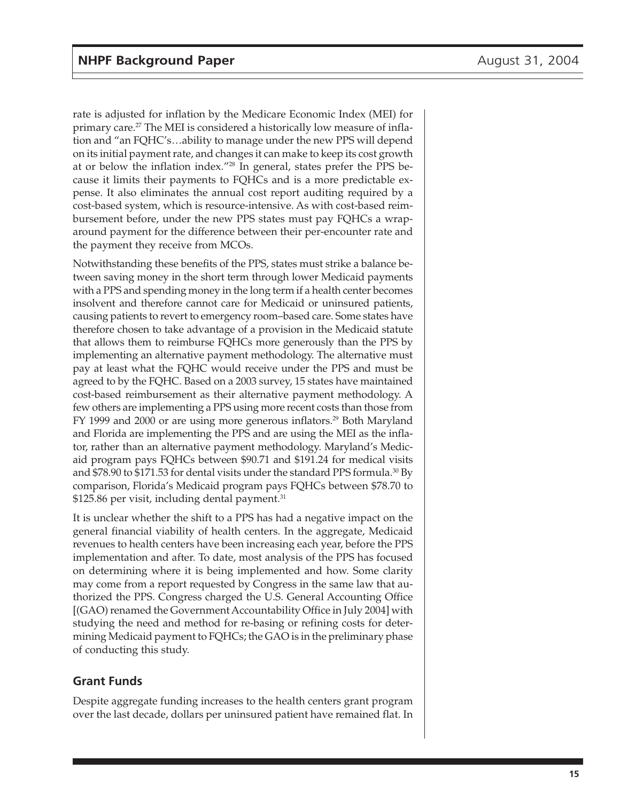rate is adjusted for inflation by the Medicare Economic Index (MEI) for primary care.<sup>27</sup> The MEI is considered a historically low measure of inflation and "an FQHC's…ability to manage under the new PPS will depend on its initial payment rate, and changes it can make to keep its cost growth at or below the inflation index."28 In general, states prefer the PPS because it limits their payments to FQHCs and is a more predictable expense. It also eliminates the annual cost report auditing required by a cost-based system, which is resource-intensive. As with cost-based reimbursement before, under the new PPS states must pay FQHCs a wraparound payment for the difference between their per-encounter rate and the payment they receive from MCOs.

Notwithstanding these benefits of the PPS, states must strike a balance between saving money in the short term through lower Medicaid payments with a PPS and spending money in the long term if a health center becomes insolvent and therefore cannot care for Medicaid or uninsured patients, causing patients to revert to emergency room–based care. Some states have therefore chosen to take advantage of a provision in the Medicaid statute that allows them to reimburse FQHCs more generously than the PPS by implementing an alternative payment methodology. The alternative must pay at least what the FQHC would receive under the PPS and must be agreed to by the FQHC. Based on a 2003 survey, 15 states have maintained cost-based reimbursement as their alternative payment methodology. A few others are implementing a PPS using more recent costs than those from FY 1999 and 2000 or are using more generous inflators.<sup>29</sup> Both Maryland and Florida are implementing the PPS and are using the MEI as the inflator, rather than an alternative payment methodology. Maryland's Medicaid program pays FQHCs between \$90.71 and \$191.24 for medical visits and  $$78.90$  to  $$171.53$  for dental visits under the standard PPS formula.<sup>30</sup> By comparison, Florida's Medicaid program pays FQHCs between \$78.70 to  $$125.86$  per visit, including dental payment.<sup>31</sup>

It is unclear whether the shift to a PPS has had a negative impact on the general financial viability of health centers. In the aggregate, Medicaid revenues to health centers have been increasing each year, before the PPS implementation and after. To date, most analysis of the PPS has focused on determining where it is being implemented and how. Some clarity may come from a report requested by Congress in the same law that authorized the PPS. Congress charged the U.S. General Accounting Office [(GAO) renamed the Government Accountability Office in July 2004] with studying the need and method for re-basing or refining costs for determining Medicaid payment to FQHCs; the GAO is in the preliminary phase of conducting this study.

#### **Grant Funds**

Despite aggregate funding increases to the health centers grant program over the last decade, dollars per uninsured patient have remained flat. In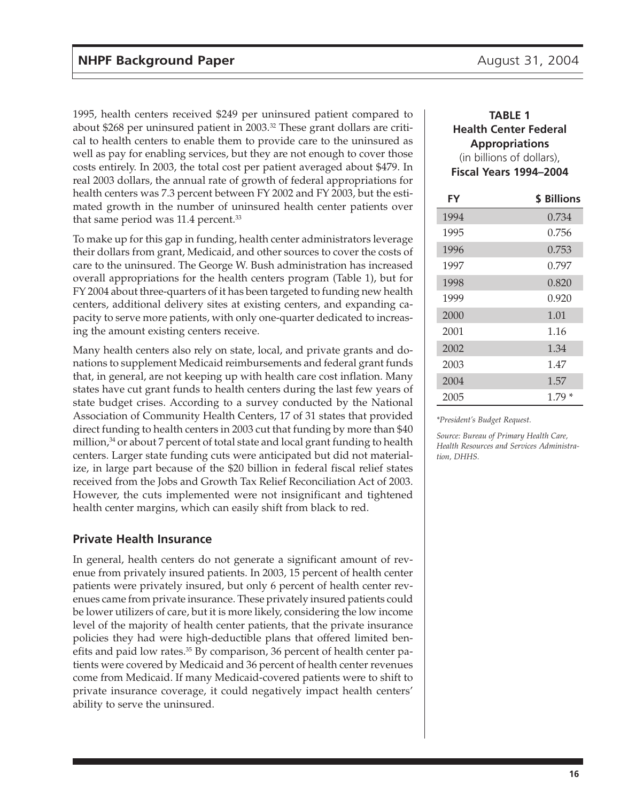1995, health centers received \$249 per uninsured patient compared to about \$268 per uninsured patient in 2003.<sup>32</sup> These grant dollars are critical to health centers to enable them to provide care to the uninsured as well as pay for enabling services, but they are not enough to cover those costs entirely. In 2003, the total cost per patient averaged about \$479. In real 2003 dollars, the annual rate of growth of federal appropriations for health centers was 7.3 percent between FY 2002 and FY 2003, but the estimated growth in the number of uninsured health center patients over that same period was 11.4 percent.<sup>33</sup>

To make up for this gap in funding, health center administrators leverage their dollars from grant, Medicaid, and other sources to cover the costs of care to the uninsured. The George W. Bush administration has increased overall appropriations for the health centers program (Table 1), but for FY 2004 about three-quarters of it has been targeted to funding new health centers, additional delivery sites at existing centers, and expanding capacity to serve more patients, with only one-quarter dedicated to increasing the amount existing centers receive.

Many health centers also rely on state, local, and private grants and donations to supplement Medicaid reimbursements and federal grant funds that, in general, are not keeping up with health care cost inflation. Many states have cut grant funds to health centers during the last few years of state budget crises. According to a survey conducted by the National Association of Community Health Centers, 17 of 31 states that provided direct funding to health centers in 2003 cut that funding by more than \$40 million, $34$  or about 7 percent of total state and local grant funding to health centers. Larger state funding cuts were anticipated but did not materialize, in large part because of the \$20 billion in federal fiscal relief states received from the Jobs and Growth Tax Relief Reconciliation Act of 2003. However, the cuts implemented were not insignificant and tightened health center margins, which can easily shift from black to red.

#### **Private Health Insurance**

In general, health centers do not generate a significant amount of revenue from privately insured patients. In 2003, 15 percent of health center patients were privately insured, but only 6 percent of health center revenues came from private insurance. These privately insured patients could be lower utilizers of care, but it is more likely, considering the low income level of the majority of health center patients, that the private insurance policies they had were high-deductible plans that offered limited benefits and paid low rates.<sup>35</sup> By comparison, 36 percent of health center patients were covered by Medicaid and 36 percent of health center revenues come from Medicaid. If many Medicaid-covered patients were to shift to private insurance coverage, it could negatively impact health centers' ability to serve the uninsured.

#### **TABLE 1 Health Center Federal Appropriations** (in billions of dollars), **Fiscal Years 1994–2004**

| FY   | <b>\$ Billions</b> |
|------|--------------------|
| 1994 | 0.734              |
| 1995 | 0.756              |
| 1996 | 0.753              |
| 1997 | 0.797              |
| 1998 | 0.820              |
| 1999 | 0.920              |
| 2000 | 1.01               |
| 2001 | 1.16               |
| 2002 | 1.34               |
| 2003 | 1.47               |
| 2004 | 1.57               |
| 2005 | *<br>1.79          |

*\*President's Budget Request.*

*Source: Bureau of Primary Health Care, Health Resources and Services Administration, DHHS.*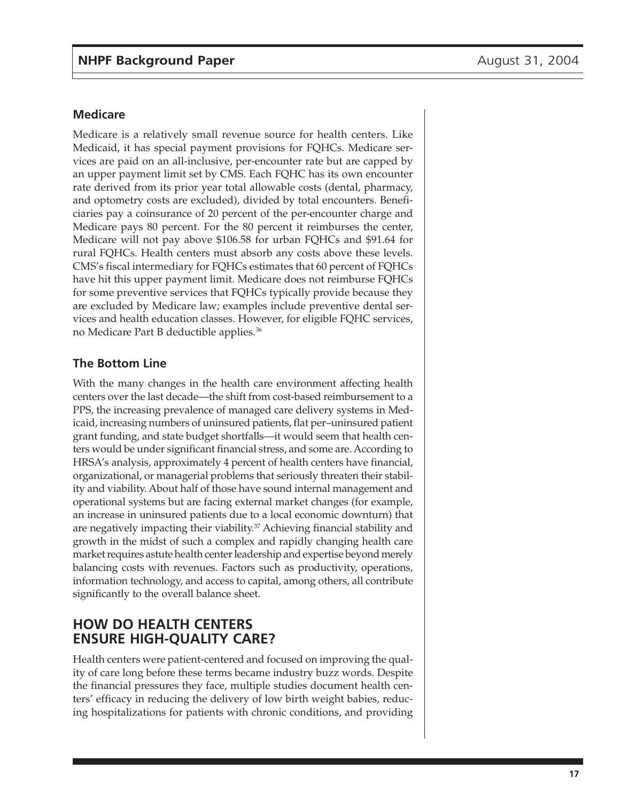#### **Medicare**

Medicare is a relatively small revenue source for health centers. Like Medicaid, it has special payment provisions for FQHCs. Medicare services are paid on an all-inclusive, per-encounter rate but are capped by an upper payment limit set by CMS. Each FQHC has its own encounter rate derived from its prior year total allowable costs (dental, pharmacy, and optometry costs are excluded), divided by total encounters. Beneficiaries pay a coinsurance of 20 percent of the per-encounter charge and Medicare pays 80 percent. For the 80 percent it reimburses the center, Medicare will not pay above \$106.58 for urban FQHCs and \$91.64 for rural FQHCs. Health centers must absorb any costs above these levels. CMS's fiscal intermediary for FQHCs estimates that 60 percent of FQHCs have hit this upper payment limit. Medicare does not reimburse FQHCs for some preventive services that FQHCs typically provide because they are excluded by Medicare law; examples include preventive dental services and health education classes. However, for eligible FQHC services, no Medicare Part B deductible applies.36

#### **The Bottom Line**

With the many changes in the health care environment affecting health centers over the last decade—the shift from cost-based reimbursement to a PPS, the increasing prevalence of managed care delivery systems in Medicaid, increasing numbers of uninsured patients, flat per–uninsured patient grant funding, and state budget shortfalls—it would seem that health centers would be under significant financial stress, and some are. According to HRSA's analysis, approximately 4 percent of health centers have financial, organizational, or managerial problems that seriously threaten their stability and viability. About half of those have sound internal management and operational systems but are facing external market changes (for example, an increase in uninsured patients due to a local economic downturn) that are negatively impacting their viability.<sup>37</sup> Achieving financial stability and growth in the midst of such a complex and rapidly changing health care market requires astute health center leadership and expertise beyond merely balancing costs with revenues. Factors such as productivity, operations, information technology, and access to capital, among others, all contribute significantly to the overall balance sheet.

## **HOW DO HEALTH CENTERS ENSURE HIGH-QUALITY CARE?**

Health centers were patient-centered and focused on improving the quality of care long before these terms became industry buzz words. Despite the financial pressures they face, multiple studies document health centers' efficacy in reducing the delivery of low birth weight babies, reducing hospitalizations for patients with chronic conditions, and providing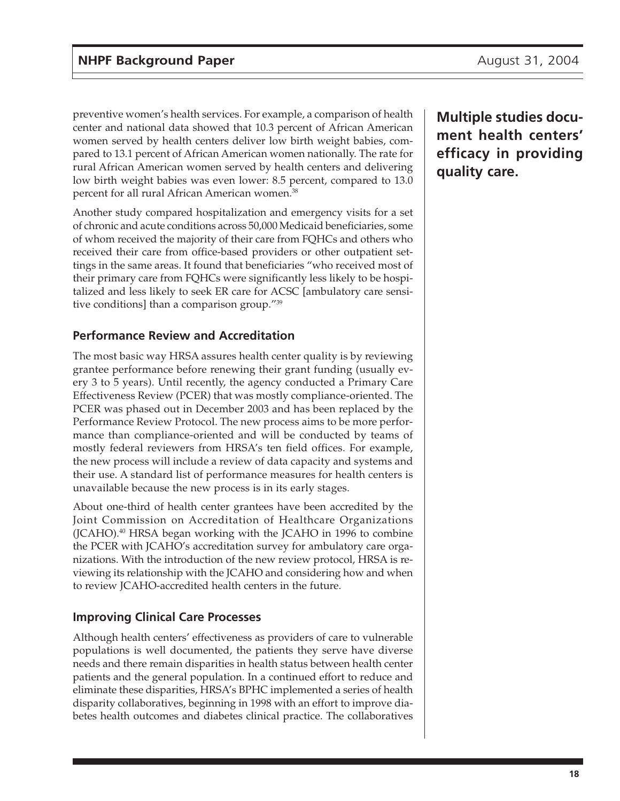preventive women's health services. For example, a comparison of health center and national data showed that 10.3 percent of African American women served by health centers deliver low birth weight babies, compared to 13.1 percent of African American women nationally. The rate for rural African American women served by health centers and delivering low birth weight babies was even lower: 8.5 percent, compared to 13.0 percent for all rural African American women.<sup>38</sup>

Another study compared hospitalization and emergency visits for a set of chronic and acute conditions across 50,000 Medicaid beneficiaries, some of whom received the majority of their care from FQHCs and others who received their care from office-based providers or other outpatient settings in the same areas. It found that beneficiaries "who received most of their primary care from FQHCs were significantly less likely to be hospitalized and less likely to seek ER care for ACSC [ambulatory care sensitive conditions] than a comparison group."39

## **Performance Review and Accreditation**

The most basic way HRSA assures health center quality is by reviewing grantee performance before renewing their grant funding (usually every 3 to 5 years). Until recently, the agency conducted a Primary Care Effectiveness Review (PCER) that was mostly compliance-oriented. The PCER was phased out in December 2003 and has been replaced by the Performance Review Protocol. The new process aims to be more performance than compliance-oriented and will be conducted by teams of mostly federal reviewers from HRSA's ten field offices. For example, the new process will include a review of data capacity and systems and their use. A standard list of performance measures for health centers is unavailable because the new process is in its early stages.

About one-third of health center grantees have been accredited by the Joint Commission on Accreditation of Healthcare Organizations (JCAHO).40 HRSA began working with the JCAHO in 1996 to combine the PCER with JCAHO's accreditation survey for ambulatory care organizations. With the introduction of the new review protocol, HRSA is reviewing its relationship with the JCAHO and considering how and when to review JCAHO-accredited health centers in the future.

### **Improving Clinical Care Processes**

Although health centers' effectiveness as providers of care to vulnerable populations is well documented, the patients they serve have diverse needs and there remain disparities in health status between health center patients and the general population. In a continued effort to reduce and eliminate these disparities, HRSA's BPHC implemented a series of health disparity collaboratives, beginning in 1998 with an effort to improve diabetes health outcomes and diabetes clinical practice. The collaboratives **Multiple studies document health centers' efficacy in providing quality care.**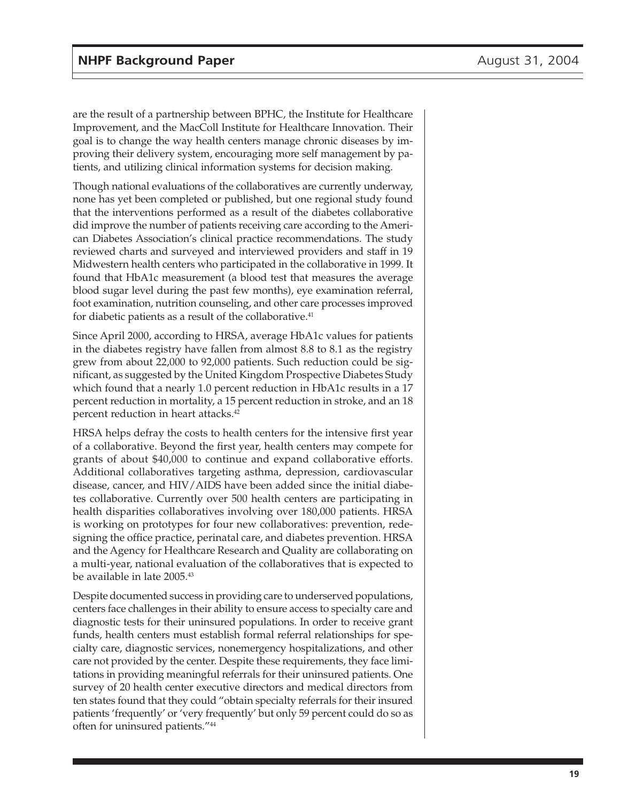are the result of a partnership between BPHC, the Institute for Healthcare Improvement, and the MacColl Institute for Healthcare Innovation. Their goal is to change the way health centers manage chronic diseases by improving their delivery system, encouraging more self management by patients, and utilizing clinical information systems for decision making.

Though national evaluations of the collaboratives are currently underway, none has yet been completed or published, but one regional study found that the interventions performed as a result of the diabetes collaborative did improve the number of patients receiving care according to the American Diabetes Association's clinical practice recommendations. The study reviewed charts and surveyed and interviewed providers and staff in 19 Midwestern health centers who participated in the collaborative in 1999. It found that HbA1c measurement (a blood test that measures the average blood sugar level during the past few months), eye examination referral, foot examination, nutrition counseling, and other care processes improved for diabetic patients as a result of the collaborative.<sup>41</sup>

Since April 2000, according to HRSA, average HbA1c values for patients in the diabetes registry have fallen from almost 8.8 to 8.1 as the registry grew from about 22,000 to 92,000 patients. Such reduction could be significant, as suggested by the United Kingdom Prospective Diabetes Study which found that a nearly 1.0 percent reduction in HbA1c results in a 17 percent reduction in mortality, a 15 percent reduction in stroke, and an 18 percent reduction in heart attacks.<sup>42</sup>

HRSA helps defray the costs to health centers for the intensive first year of a collaborative. Beyond the first year, health centers may compete for grants of about \$40,000 to continue and expand collaborative efforts. Additional collaboratives targeting asthma, depression, cardiovascular disease, cancer, and HIV/AIDS have been added since the initial diabetes collaborative. Currently over 500 health centers are participating in health disparities collaboratives involving over 180,000 patients. HRSA is working on prototypes for four new collaboratives: prevention, redesigning the office practice, perinatal care, and diabetes prevention. HRSA and the Agency for Healthcare Research and Quality are collaborating on a multi-year, national evaluation of the collaboratives that is expected to be available in late 2005.43

Despite documented success in providing care to underserved populations, centers face challenges in their ability to ensure access to specialty care and diagnostic tests for their uninsured populations. In order to receive grant funds, health centers must establish formal referral relationships for specialty care, diagnostic services, nonemergency hospitalizations, and other care not provided by the center. Despite these requirements, they face limitations in providing meaningful referrals for their uninsured patients. One survey of 20 health center executive directors and medical directors from ten states found that they could "obtain specialty referrals for their insured patients 'frequently' or 'very frequently' but only 59 percent could do so as often for uninsured patients."44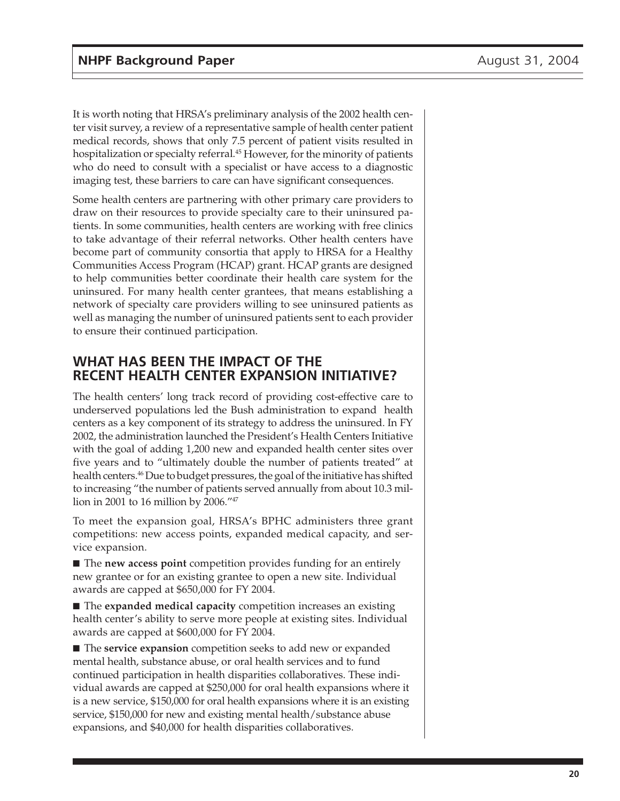It is worth noting that HRSA's preliminary analysis of the 2002 health center visit survey, a review of a representative sample of health center patient medical records, shows that only 7.5 percent of patient visits resulted in hospitalization or specialty referral.<sup>45</sup> However, for the minority of patients who do need to consult with a specialist or have access to a diagnostic imaging test, these barriers to care can have significant consequences.

Some health centers are partnering with other primary care providers to draw on their resources to provide specialty care to their uninsured patients. In some communities, health centers are working with free clinics to take advantage of their referral networks. Other health centers have become part of community consortia that apply to HRSA for a Healthy Communities Access Program (HCAP) grant. HCAP grants are designed to help communities better coordinate their health care system for the uninsured. For many health center grantees, that means establishing a network of specialty care providers willing to see uninsured patients as well as managing the number of uninsured patients sent to each provider to ensure their continued participation.

## **WHAT HAS BEEN THE IMPACT OF THE RECENT HEALTH CENTER EXPANSION INITIATIVE?**

The health centers' long track record of providing cost-effective care to underserved populations led the Bush administration to expand health centers as a key component of its strategy to address the uninsured. In FY 2002, the administration launched the President's Health Centers Initiative with the goal of adding 1,200 new and expanded health center sites over five years and to "ultimately double the number of patients treated" at health centers.<sup>46</sup> Due to budget pressures, the goal of the initiative has shifted to increasing "the number of patients served annually from about 10.3 million in 2001 to 16 million by 2006."47

To meet the expansion goal, HRSA's BPHC administers three grant competitions: new access points, expanded medical capacity, and service expansion.

■ The **new access point** competition provides funding for an entirely new grantee or for an existing grantee to open a new site. Individual awards are capped at \$650,000 for FY 2004.

■ The **expanded medical capacity** competition increases an existing health center's ability to serve more people at existing sites. Individual awards are capped at \$600,000 for FY 2004.

■ The **service expansion** competition seeks to add new or expanded mental health, substance abuse, or oral health services and to fund continued participation in health disparities collaboratives. These individual awards are capped at \$250,000 for oral health expansions where it is a new service, \$150,000 for oral health expansions where it is an existing service, \$150,000 for new and existing mental health/substance abuse expansions, and \$40,000 for health disparities collaboratives.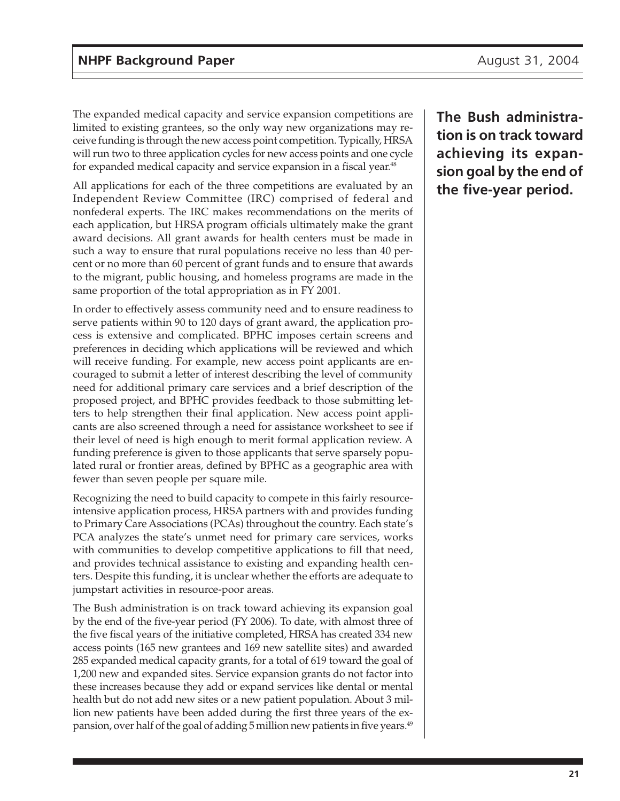The expanded medical capacity and service expansion competitions are limited to existing grantees, so the only way new organizations may receive funding is through the new access point competition. Typically, HRSA will run two to three application cycles for new access points and one cycle for expanded medical capacity and service expansion in a fiscal year.<sup>48</sup>

All applications for each of the three competitions are evaluated by an Independent Review Committee (IRC) comprised of federal and nonfederal experts. The IRC makes recommendations on the merits of each application, but HRSA program officials ultimately make the grant award decisions. All grant awards for health centers must be made in such a way to ensure that rural populations receive no less than 40 percent or no more than 60 percent of grant funds and to ensure that awards to the migrant, public housing, and homeless programs are made in the same proportion of the total appropriation as in FY 2001.

In order to effectively assess community need and to ensure readiness to serve patients within 90 to 120 days of grant award, the application process is extensive and complicated. BPHC imposes certain screens and preferences in deciding which applications will be reviewed and which will receive funding. For example, new access point applicants are encouraged to submit a letter of interest describing the level of community need for additional primary care services and a brief description of the proposed project, and BPHC provides feedback to those submitting letters to help strengthen their final application. New access point applicants are also screened through a need for assistance worksheet to see if their level of need is high enough to merit formal application review. A funding preference is given to those applicants that serve sparsely populated rural or frontier areas, defined by BPHC as a geographic area with fewer than seven people per square mile.

Recognizing the need to build capacity to compete in this fairly resourceintensive application process, HRSA partners with and provides funding to Primary Care Associations (PCAs) throughout the country. Each state's PCA analyzes the state's unmet need for primary care services, works with communities to develop competitive applications to fill that need, and provides technical assistance to existing and expanding health centers. Despite this funding, it is unclear whether the efforts are adequate to jumpstart activities in resource-poor areas.

The Bush administration is on track toward achieving its expansion goal by the end of the five-year period (FY 2006). To date, with almost three of the five fiscal years of the initiative completed, HRSA has created 334 new access points (165 new grantees and 169 new satellite sites) and awarded 285 expanded medical capacity grants, for a total of 619 toward the goal of 1,200 new and expanded sites. Service expansion grants do not factor into these increases because they add or expand services like dental or mental health but do not add new sites or a new patient population. About 3 million new patients have been added during the first three years of the expansion, over half of the goal of adding 5 million new patients in five years.<sup>49</sup>

**The Bush administration is on track toward achieving its expansion goal by the end of the five-year period.**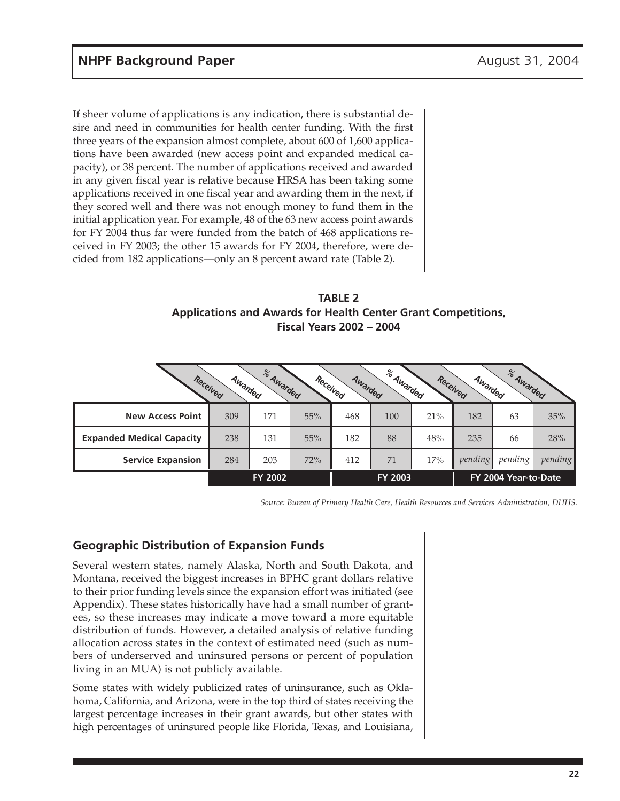If sheer volume of applications is any indication, there is substantial desire and need in communities for health center funding. With the first three years of the expansion almost complete, about 600 of 1,600 applications have been awarded (new access point and expanded medical capacity), or 38 percent. The number of applications received and awarded in any given fiscal year is relative because HRSA has been taking some applications received in one fiscal year and awarding them in the next, if they scored well and there was not enough money to fund them in the initial application year. For example, 48 of the 63 new access point awards for FY 2004 thus far were funded from the batch of 468 applications received in FY 2003; the other 15 awards for FY 2004, therefore, were decided from 182 applications—only an 8 percent award rate (Table 2).

**TABLE 2 Applications and Awards for Health Center Grant Competitions, Fiscal Years 2002 – 2004**

|                                  | Received<br>Awarded | % Awarded | Received | Awarded | % Awarded |     | Received<br>Awarded | % Awarded            |         |
|----------------------------------|---------------------|-----------|----------|---------|-----------|-----|---------------------|----------------------|---------|
| <b>New Access Point</b>          | 309                 | 171       | 55%      | 468     | 100       | 21% | 182                 | 63                   | 35%     |
| <b>Expanded Medical Capacity</b> | 238                 | 131       | 55%      | 182     | 88        | 48% | 235                 | 66                   | 28%     |
| <b>Service Expansion</b>         | 284                 | 203       | 72%      | 412     | 71        | 17% | pending             | pending              | pending |
|                                  |                     | FY 2002   |          |         | FY 2003   |     |                     | FY 2004 Year-to-Date |         |

*Source: Bureau of Primary Health Care, Health Resources and Services Administration, DHHS.*

#### **Geographic Distribution of Expansion Funds**

Several western states, namely Alaska, North and South Dakota, and Montana, received the biggest increases in BPHC grant dollars relative to their prior funding levels since the expansion effort was initiated (see Appendix). These states historically have had a small number of grantees, so these increases may indicate a move toward a more equitable distribution of funds. However, a detailed analysis of relative funding allocation across states in the context of estimated need (such as numbers of underserved and uninsured persons or percent of population living in an MUA) is not publicly available.

Some states with widely publicized rates of uninsurance, such as Oklahoma, California, and Arizona, were in the top third of states receiving the largest percentage increases in their grant awards, but other states with high percentages of uninsured people like Florida, Texas, and Louisiana,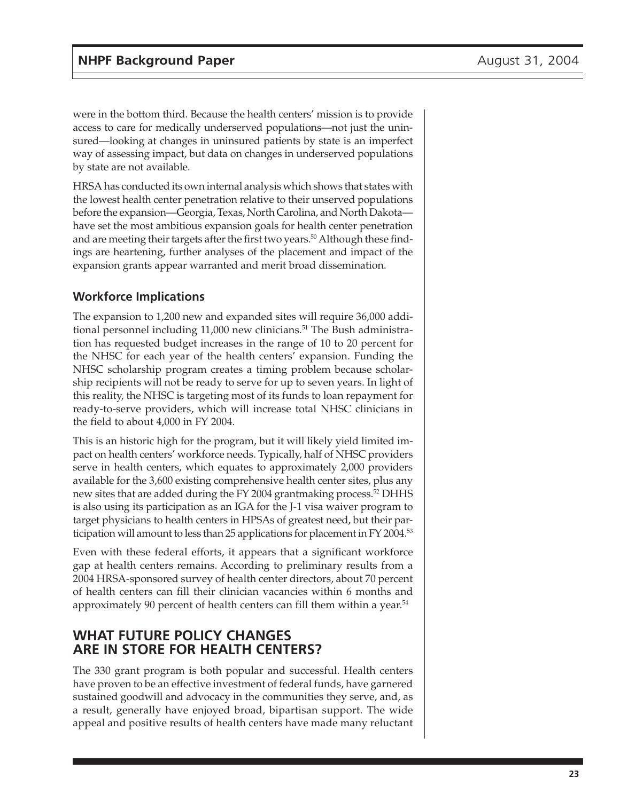were in the bottom third. Because the health centers' mission is to provide access to care for medically underserved populations—not just the uninsured—looking at changes in uninsured patients by state is an imperfect way of assessing impact, but data on changes in underserved populations by state are not available.

HRSA has conducted its own internal analysis which shows that states with the lowest health center penetration relative to their unserved populations before the expansion—Georgia, Texas, North Carolina, and North Dakota have set the most ambitious expansion goals for health center penetration and are meeting their targets after the first two years.<sup>50</sup> Although these findings are heartening, further analyses of the placement and impact of the expansion grants appear warranted and merit broad dissemination.

### **Workforce Implications**

The expansion to 1,200 new and expanded sites will require 36,000 additional personnel including 11,000 new clinicians.<sup>51</sup> The Bush administration has requested budget increases in the range of 10 to 20 percent for the NHSC for each year of the health centers' expansion. Funding the NHSC scholarship program creates a timing problem because scholarship recipients will not be ready to serve for up to seven years. In light of this reality, the NHSC is targeting most of its funds to loan repayment for ready-to-serve providers, which will increase total NHSC clinicians in the field to about 4,000 in FY 2004.

This is an historic high for the program, but it will likely yield limited impact on health centers' workforce needs. Typically, half of NHSC providers serve in health centers, which equates to approximately 2,000 providers available for the 3,600 existing comprehensive health center sites, plus any new sites that are added during the FY 2004 grantmaking process.<sup>52</sup> DHHS is also using its participation as an IGA for the J-1 visa waiver program to target physicians to health centers in HPSAs of greatest need, but their participation will amount to less than 25 applications for placement in FY 2004.<sup>53</sup>

Even with these federal efforts, it appears that a significant workforce gap at health centers remains. According to preliminary results from a 2004 HRSA-sponsored survey of health center directors, about 70 percent of health centers can fill their clinician vacancies within 6 months and approximately 90 percent of health centers can fill them within a year.<sup>54</sup>

## **WHAT FUTURE POLICY CHANGES ARE IN STORE FOR HEALTH CENTERS?**

The 330 grant program is both popular and successful. Health centers have proven to be an effective investment of federal funds, have garnered sustained goodwill and advocacy in the communities they serve, and, as a result, generally have enjoyed broad, bipartisan support. The wide appeal and positive results of health centers have made many reluctant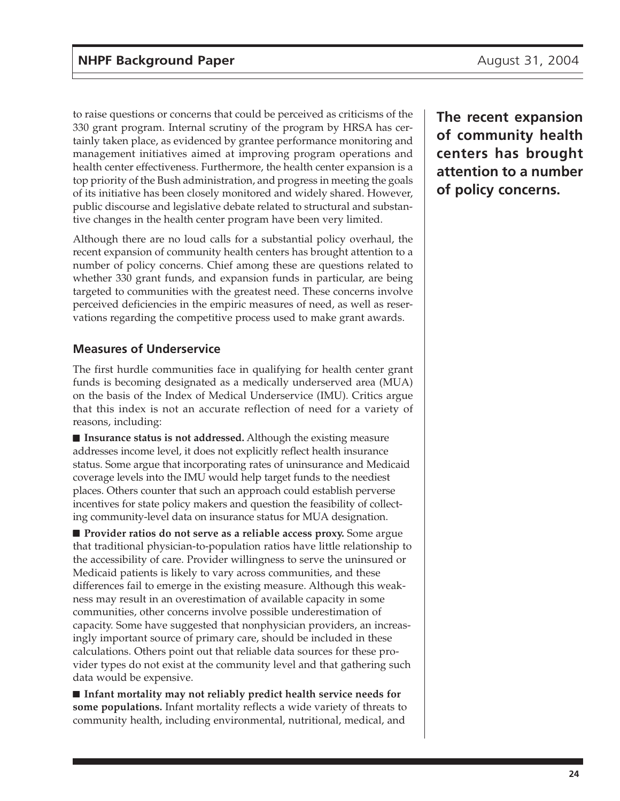to raise questions or concerns that could be perceived as criticisms of the 330 grant program. Internal scrutiny of the program by HRSA has certainly taken place, as evidenced by grantee performance monitoring and management initiatives aimed at improving program operations and health center effectiveness. Furthermore, the health center expansion is a top priority of the Bush administration, and progress in meeting the goals of its initiative has been closely monitored and widely shared. However, public discourse and legislative debate related to structural and substantive changes in the health center program have been very limited.

Although there are no loud calls for a substantial policy overhaul, the recent expansion of community health centers has brought attention to a number of policy concerns. Chief among these are questions related to whether 330 grant funds, and expansion funds in particular, are being targeted to communities with the greatest need. These concerns involve perceived deficiencies in the empiric measures of need, as well as reservations regarding the competitive process used to make grant awards.

## **Measures of Underservice**

The first hurdle communities face in qualifying for health center grant funds is becoming designated as a medically underserved area (MUA) on the basis of the Index of Medical Underservice (IMU). Critics argue that this index is not an accurate reflection of need for a variety of reasons, including:

■ **Insurance status is not addressed.** Although the existing measure addresses income level, it does not explicitly reflect health insurance status. Some argue that incorporating rates of uninsurance and Medicaid coverage levels into the IMU would help target funds to the neediest places. Others counter that such an approach could establish perverse incentives for state policy makers and question the feasibility of collecting community-level data on insurance status for MUA designation.

■ **Provider ratios do not serve as a reliable access proxy.** Some argue that traditional physician-to-population ratios have little relationship to the accessibility of care. Provider willingness to serve the uninsured or Medicaid patients is likely to vary across communities, and these differences fail to emerge in the existing measure. Although this weakness may result in an overestimation of available capacity in some communities, other concerns involve possible underestimation of capacity. Some have suggested that nonphysician providers, an increasingly important source of primary care, should be included in these calculations. Others point out that reliable data sources for these provider types do not exist at the community level and that gathering such data would be expensive.

■ **Infant mortality may not reliably predict health service needs for some populations.** Infant mortality reflects a wide variety of threats to community health, including environmental, nutritional, medical, and

**The recent expansion of community health centers has brought attention to a number of policy concerns.**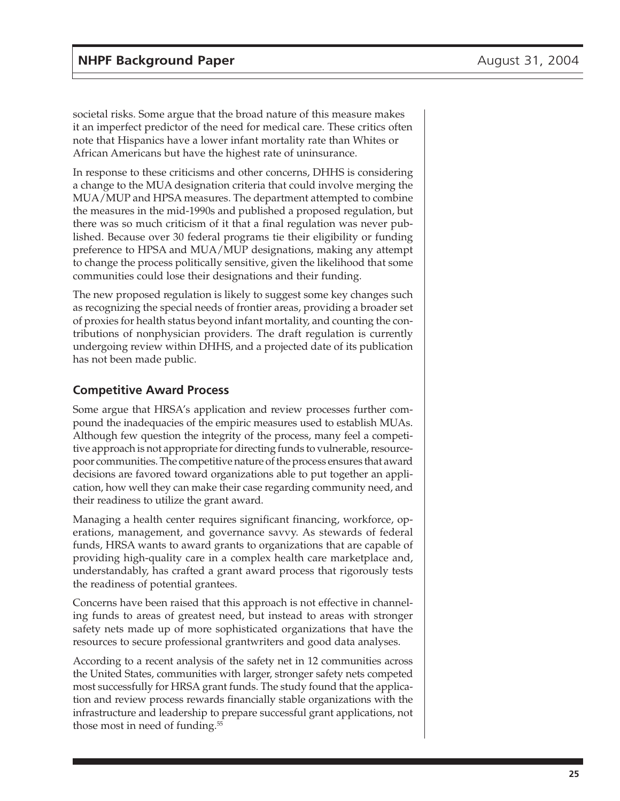societal risks. Some argue that the broad nature of this measure makes it an imperfect predictor of the need for medical care. These critics often note that Hispanics have a lower infant mortality rate than Whites or African Americans but have the highest rate of uninsurance.

In response to these criticisms and other concerns, DHHS is considering a change to the MUA designation criteria that could involve merging the MUA/MUP and HPSA measures. The department attempted to combine the measures in the mid-1990s and published a proposed regulation, but there was so much criticism of it that a final regulation was never published. Because over 30 federal programs tie their eligibility or funding preference to HPSA and MUA/MUP designations, making any attempt to change the process politically sensitive, given the likelihood that some communities could lose their designations and their funding.

The new proposed regulation is likely to suggest some key changes such as recognizing the special needs of frontier areas, providing a broader set of proxies for health status beyond infant mortality, and counting the contributions of nonphysician providers. The draft regulation is currently undergoing review within DHHS, and a projected date of its publication has not been made public.

### **Competitive Award Process**

Some argue that HRSA's application and review processes further compound the inadequacies of the empiric measures used to establish MUAs. Although few question the integrity of the process, many feel a competitive approach is not appropriate for directing funds to vulnerable, resourcepoor communities. The competitive nature of the process ensures that award decisions are favored toward organizations able to put together an application, how well they can make their case regarding community need, and their readiness to utilize the grant award.

Managing a health center requires significant financing, workforce, operations, management, and governance savvy. As stewards of federal funds, HRSA wants to award grants to organizations that are capable of providing high-quality care in a complex health care marketplace and, understandably, has crafted a grant award process that rigorously tests the readiness of potential grantees.

Concerns have been raised that this approach is not effective in channeling funds to areas of greatest need, but instead to areas with stronger safety nets made up of more sophisticated organizations that have the resources to secure professional grantwriters and good data analyses.

According to a recent analysis of the safety net in 12 communities across the United States, communities with larger, stronger safety nets competed most successfully for HRSA grant funds. The study found that the application and review process rewards financially stable organizations with the infrastructure and leadership to prepare successful grant applications, not those most in need of funding.<sup>55</sup>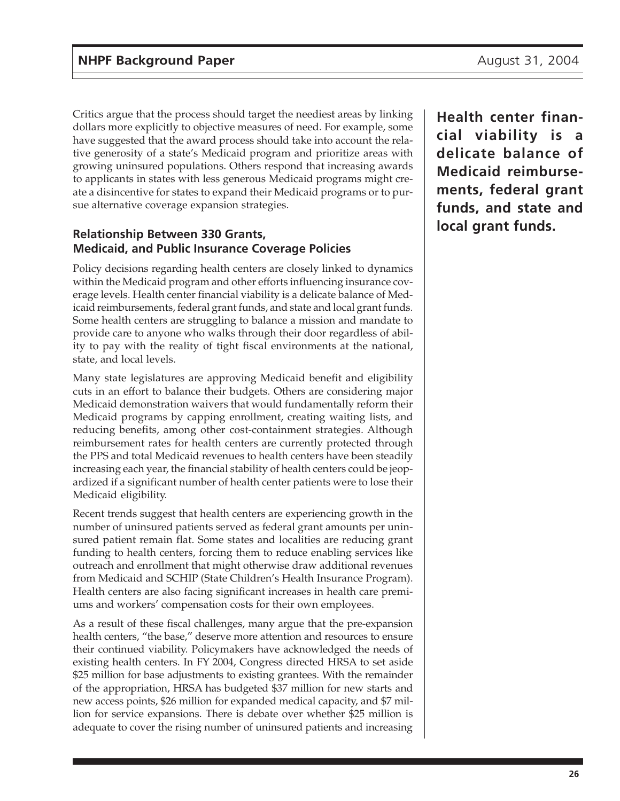Critics argue that the process should target the neediest areas by linking dollars more explicitly to objective measures of need. For example, some have suggested that the award process should take into account the relative generosity of a state's Medicaid program and prioritize areas with growing uninsured populations. Others respond that increasing awards to applicants in states with less generous Medicaid programs might create a disincentive for states to expand their Medicaid programs or to pursue alternative coverage expansion strategies.

#### **Relationship Between 330 Grants, Medicaid, and Public Insurance Coverage Policies**

Policy decisions regarding health centers are closely linked to dynamics within the Medicaid program and other efforts influencing insurance coverage levels. Health center financial viability is a delicate balance of Medicaid reimbursements, federal grant funds, and state and local grant funds. Some health centers are struggling to balance a mission and mandate to provide care to anyone who walks through their door regardless of ability to pay with the reality of tight fiscal environments at the national, state, and local levels.

Many state legislatures are approving Medicaid benefit and eligibility cuts in an effort to balance their budgets. Others are considering major Medicaid demonstration waivers that would fundamentally reform their Medicaid programs by capping enrollment, creating waiting lists, and reducing benefits, among other cost-containment strategies. Although reimbursement rates for health centers are currently protected through the PPS and total Medicaid revenues to health centers have been steadily increasing each year, the financial stability of health centers could be jeopardized if a significant number of health center patients were to lose their Medicaid eligibility.

Recent trends suggest that health centers are experiencing growth in the number of uninsured patients served as federal grant amounts per uninsured patient remain flat. Some states and localities are reducing grant funding to health centers, forcing them to reduce enabling services like outreach and enrollment that might otherwise draw additional revenues from Medicaid and SCHIP (State Children's Health Insurance Program). Health centers are also facing significant increases in health care premiums and workers' compensation costs for their own employees.

As a result of these fiscal challenges, many argue that the pre-expansion health centers, "the base," deserve more attention and resources to ensure their continued viability. Policymakers have acknowledged the needs of existing health centers. In FY 2004, Congress directed HRSA to set aside \$25 million for base adjustments to existing grantees. With the remainder of the appropriation, HRSA has budgeted \$37 million for new starts and new access points, \$26 million for expanded medical capacity, and \$7 million for service expansions. There is debate over whether \$25 million is adequate to cover the rising number of uninsured patients and increasing

**Health center financial viability is a delicate balance of Medicaid reimbursements, federal grant funds, and state and local grant funds.**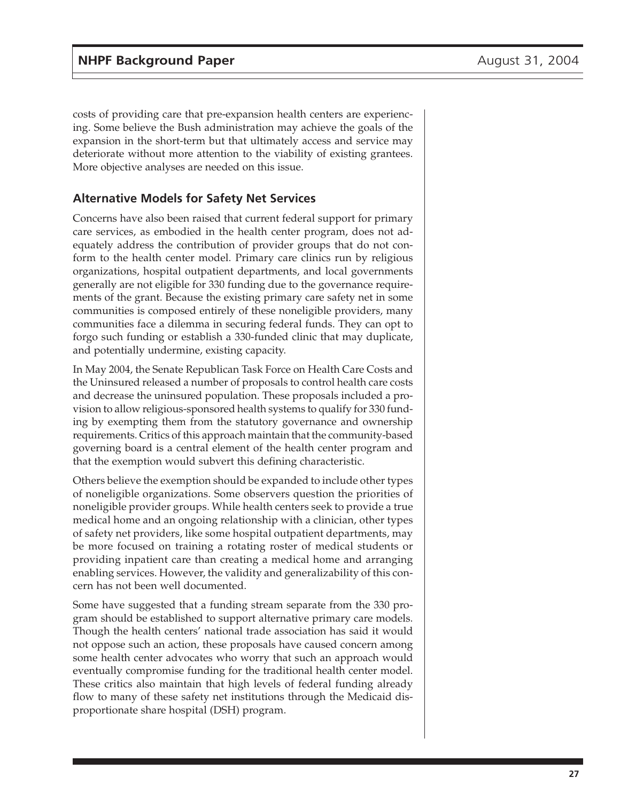costs of providing care that pre-expansion health centers are experiencing. Some believe the Bush administration may achieve the goals of the expansion in the short-term but that ultimately access and service may deteriorate without more attention to the viability of existing grantees. More objective analyses are needed on this issue.

#### **Alternative Models for Safety Net Services**

Concerns have also been raised that current federal support for primary care services, as embodied in the health center program, does not adequately address the contribution of provider groups that do not conform to the health center model. Primary care clinics run by religious organizations, hospital outpatient departments, and local governments generally are not eligible for 330 funding due to the governance requirements of the grant. Because the existing primary care safety net in some communities is composed entirely of these noneligible providers, many communities face a dilemma in securing federal funds. They can opt to forgo such funding or establish a 330-funded clinic that may duplicate, and potentially undermine, existing capacity.

In May 2004, the Senate Republican Task Force on Health Care Costs and the Uninsured released a number of proposals to control health care costs and decrease the uninsured population. These proposals included a provision to allow religious-sponsored health systems to qualify for 330 funding by exempting them from the statutory governance and ownership requirements. Critics of this approach maintain that the community-based governing board is a central element of the health center program and that the exemption would subvert this defining characteristic.

Others believe the exemption should be expanded to include other types of noneligible organizations. Some observers question the priorities of noneligible provider groups. While health centers seek to provide a true medical home and an ongoing relationship with a clinician, other types of safety net providers, like some hospital outpatient departments, may be more focused on training a rotating roster of medical students or providing inpatient care than creating a medical home and arranging enabling services. However, the validity and generalizability of this concern has not been well documented.

Some have suggested that a funding stream separate from the 330 program should be established to support alternative primary care models. Though the health centers' national trade association has said it would not oppose such an action, these proposals have caused concern among some health center advocates who worry that such an approach would eventually compromise funding for the traditional health center model. These critics also maintain that high levels of federal funding already flow to many of these safety net institutions through the Medicaid disproportionate share hospital (DSH) program.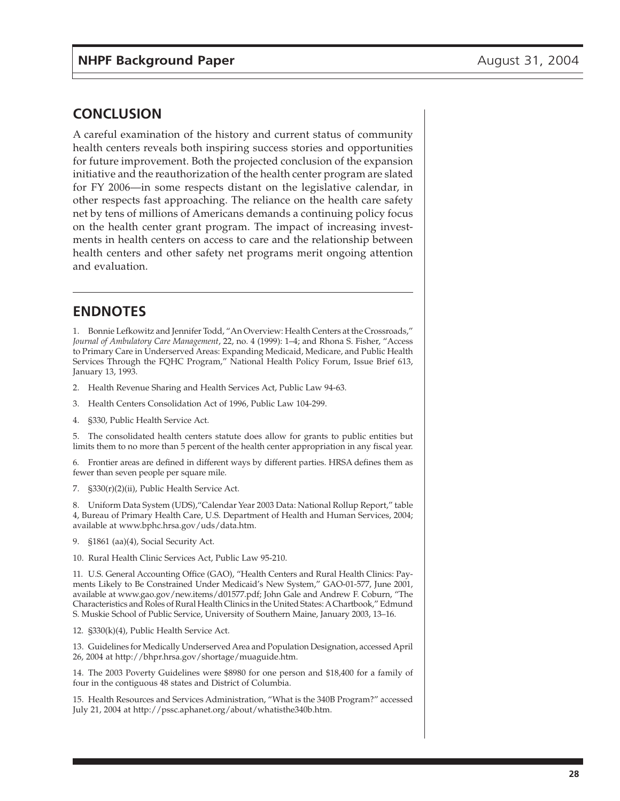## **CONCLUSION**

A careful examination of the history and current status of community health centers reveals both inspiring success stories and opportunities for future improvement. Both the projected conclusion of the expansion initiative and the reauthorization of the health center program are slated for FY 2006—in some respects distant on the legislative calendar, in other respects fast approaching. The reliance on the health care safety net by tens of millions of Americans demands a continuing policy focus on the health center grant program. The impact of increasing investments in health centers on access to care and the relationship between health centers and other safety net programs merit ongoing attention and evaluation.

## **ENDNOTES**

1. Bonnie Lefkowitz and Jennifer Todd, "An Overview: Health Centers at the Crossroads," *Journal of Ambulatory Care Management*, 22, no. 4 (1999): 1–4; and Rhona S. Fisher, "Access to Primary Care in Underserved Areas: Expanding Medicaid, Medicare, and Public Health Services Through the FQHC Program," National Health Policy Forum, Issue Brief 613, January 13, 1993.

2. Health Revenue Sharing and Health Services Act, Public Law 94-63.

3. Health Centers Consolidation Act of 1996, Public Law 104-299.

4. §330, Public Health Service Act.

5. The consolidated health centers statute does allow for grants to public entities but limits them to no more than 5 percent of the health center appropriation in any fiscal year.

6. Frontier areas are defined in different ways by different parties. HRSA defines them as fewer than seven people per square mile.

7. §330(r)(2)(ii), Public Health Service Act.

8. Uniform Data System (UDS),"Calendar Year 2003 Data: National Rollup Report," table 4, Bureau of Primary Health Care, U.S. Department of Health and Human Services, 2004; available at www.bphc.hrsa.gov/uds/data.htm.

9. §1861 (aa)(4), Social Security Act.

10. Rural Health Clinic Services Act, Public Law 95-210.

11. U.S. General Accounting Office (GAO), "Health Centers and Rural Health Clinics: Payments Likely to Be Constrained Under Medicaid's New System," GAO-01-577, June 2001, available at www.gao.gov/new.items/d01577.pdf; John Gale and Andrew F. Coburn, "The Characteristics and Roles of Rural Health Clinics in the United States: A Chartbook," Edmund S. Muskie School of Public Service, University of Southern Maine, January 2003, 13–16.

12. §330(k)(4), Public Health Service Act.

13. Guidelines for Medically Underserved Area and Population Designation, accessed April 26, 2004 at http://bhpr.hrsa.gov/shortage/muaguide.htm.

14. The 2003 Poverty Guidelines were \$8980 for one person and \$18,400 for a family of four in the contiguous 48 states and District of Columbia.

15. Health Resources and Services Administration, "What is the 340B Program?" accessed July 21, 2004 at http://pssc.aphanet.org/about/whatisthe340b.htm.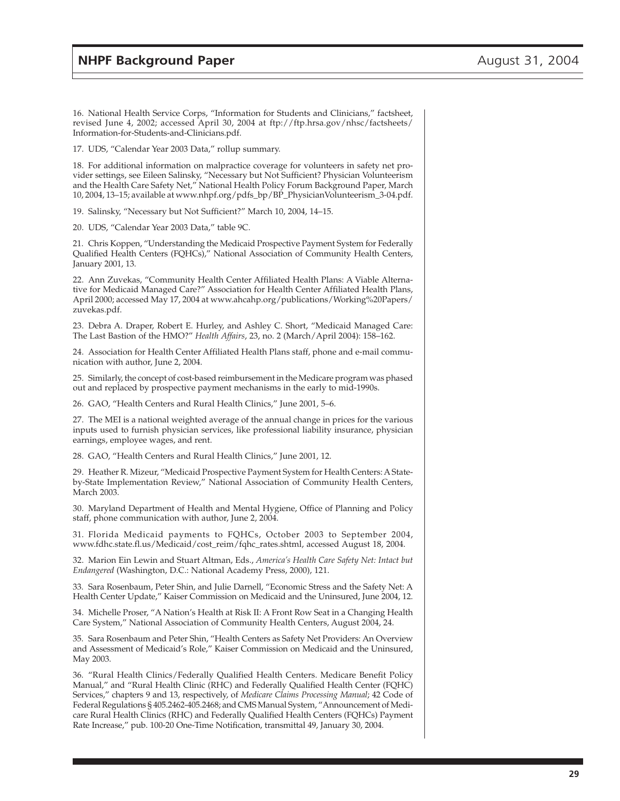16. National Health Service Corps, "Information for Students and Clinicians," factsheet, revised June 4, 2002; accessed April 30, 2004 at ftp://ftp.hrsa.gov/nhsc/factsheets/ Information-for-Students-and-Clinicians.pdf.

17. UDS, "Calendar Year 2003 Data," rollup summary.

18. For additional information on malpractice coverage for volunteers in safety net provider settings, see Eileen Salinsky, "Necessary but Not Sufficient? Physician Volunteerism and the Health Care Safety Net," National Health Policy Forum Background Paper, March 10, 2004, 13–15; available at www.nhpf.org/pdfs\_bp/BP\_PhysicianVolunteerism\_3-04.pdf.

19. Salinsky, "Necessary but Not Sufficient?" March 10, 2004, 14–15.

20. UDS, "Calendar Year 2003 Data," table 9C.

21. Chris Koppen, "Understanding the Medicaid Prospective Payment System for Federally Qualified Health Centers (FQHCs)," National Association of Community Health Centers, January 2001, 13.

22. Ann Zuvekas, "Community Health Center Affiliated Health Plans: A Viable Alternative for Medicaid Managed Care?" Association for Health Center Affiliated Health Plans, April 2000; accessed May 17, 2004 at www.ahcahp.org/publications/Working%20Papers/ zuvekas.pdf.

23. Debra A. Draper, Robert E. Hurley, and Ashley C. Short, "Medicaid Managed Care: The Last Bastion of the HMO?" *Health Affairs*, 23, no. 2 (March/April 2004): 158–162.

24. Association for Health Center Affiliated Health Plans staff, phone and e-mail communication with author, June 2, 2004.

25. Similarly, the concept of cost-based reimbursement in the Medicare program was phased out and replaced by prospective payment mechanisms in the early to mid-1990s.

26. GAO, "Health Centers and Rural Health Clinics," June 2001, 5–6.

27. The MEI is a national weighted average of the annual change in prices for the various inputs used to furnish physician services, like professional liability insurance, physician earnings, employee wages, and rent.

28. GAO, "Health Centers and Rural Health Clinics," June 2001, 12.

29. Heather R. Mizeur, "Medicaid Prospective Payment System for Health Centers: A Stateby-State Implementation Review," National Association of Community Health Centers, March 2003.

30. Maryland Department of Health and Mental Hygiene, Office of Planning and Policy staff, phone communication with author, June 2, 2004.

31. Florida Medicaid payments to FQHCs, October 2003 to September 2004, www.fdhc.state.fl.us/Medicaid/cost\_reim/fqhc\_rates.shtml, accessed August 18, 2004.

32. Marion Ein Lewin and Stuart Altman, Eds., *America's Health Care Safety Net: Intact but Endangered* (Washington, D.C.: National Academy Press, 2000), 121.

33. Sara Rosenbaum, Peter Shin, and Julie Darnell, "Economic Stress and the Safety Net: A Health Center Update," Kaiser Commission on Medicaid and the Uninsured, June 2004, 12.

34. Michelle Proser, "A Nation's Health at Risk II: A Front Row Seat in a Changing Health Care System," National Association of Community Health Centers, August 2004, 24.

35. Sara Rosenbaum and Peter Shin, "Health Centers as Safety Net Providers: An Overview and Assessment of Medicaid's Role," Kaiser Commission on Medicaid and the Uninsured, May 2003.

36. "Rural Health Clinics/Federally Qualified Health Centers. Medicare Benefit Policy Manual," and "Rural Health Clinic (RHC) and Federally Qualified Health Center (FQHC) Services," chapters 9 and 13, respectively, of *Medicare Claims Processing Manual*; 42 Code of Federal Regulations § 405.2462-405.2468; and CMS Manual System, "Announcement of Medicare Rural Health Clinics (RHC) and Federally Qualified Health Centers (FQHCs) Payment Rate Increase," pub. 100-20 One-Time Notification, transmittal 49, January 30, 2004.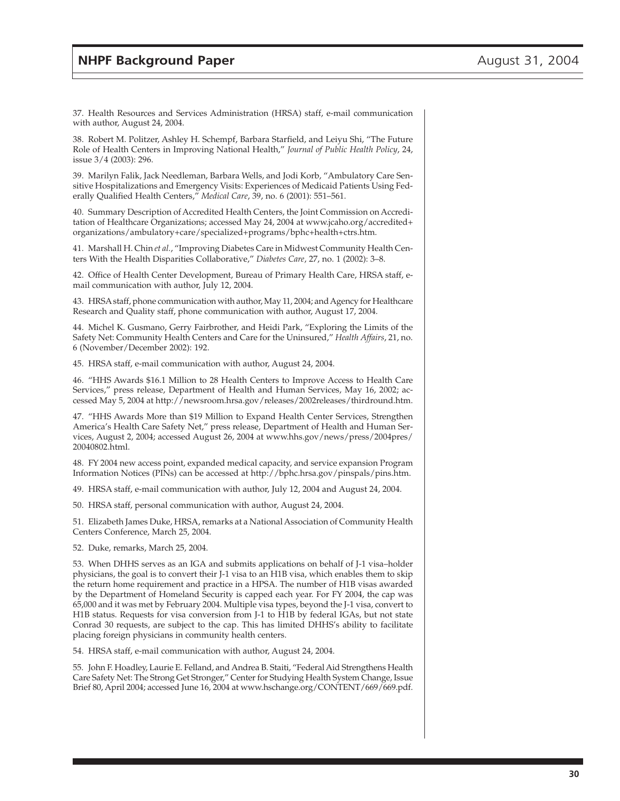37. Health Resources and Services Administration (HRSA) staff, e-mail communication with author, August 24, 2004.

38. Robert M. Politzer, Ashley H. Schempf, Barbara Starfield, and Leiyu Shi, "The Future Role of Health Centers in Improving National Health," *Journal of Public Health Policy*, 24, issue 3/4 (2003): 296.

39. Marilyn Falik, Jack Needleman, Barbara Wells, and Jodi Korb, "Ambulatory Care Sensitive Hospitalizations and Emergency Visits: Experiences of Medicaid Patients Using Federally Qualified Health Centers," *Medical Care*, 39, no. 6 (2001): 551–561.

40. Summary Description of Accredited Health Centers, the Joint Commission on Accreditation of Healthcare Organizations; accessed May 24, 2004 at www.jcaho.org/accredited+ organizations/ambulatory+care/specialized+programs/bphc+health+ctrs.htm.

41. Marshall H. Chin *et al.*, "Improving Diabetes Care in Midwest Community Health Centers With the Health Disparities Collaborative," *Diabetes Care*, 27, no. 1 (2002): 3–8.

42. Office of Health Center Development, Bureau of Primary Health Care, HRSA staff, email communication with author, July 12, 2004.

43. HRSA staff, phone communication with author, May 11, 2004; and Agency for Healthcare Research and Quality staff, phone communication with author, August 17, 2004.

44. Michel K. Gusmano, Gerry Fairbrother, and Heidi Park, "Exploring the Limits of the Safety Net: Community Health Centers and Care for the Uninsured," *Health Affairs*, 21, no. 6 (November/December 2002): 192.

45. HRSA staff, e-mail communication with author, August 24, 2004.

46. "HHS Awards \$16.1 Million to 28 Health Centers to Improve Access to Health Care Services," press release, Department of Health and Human Services, May 16, 2002; accessed May 5, 2004 at http://newsroom.hrsa.gov/releases/2002releases/thirdround.htm.

47. "HHS Awards More than \$19 Million to Expand Health Center Services, Strengthen America's Health Care Safety Net," press release, Department of Health and Human Services, August 2, 2004; accessed August 26, 2004 at www.hhs.gov/news/press/2004pres/ 20040802.html.

48. FY 2004 new access point, expanded medical capacity, and service expansion Program Information Notices (PINs) can be accessed at http://bphc.hrsa.gov/pinspals/pins.htm.

49. HRSA staff, e-mail communication with author, July 12, 2004 and August 24, 2004.

50. HRSA staff, personal communication with author, August 24, 2004.

51. Elizabeth James Duke, HRSA, remarks at a National Association of Community Health Centers Conference, March 25, 2004.

52. Duke, remarks, March 25, 2004.

53. When DHHS serves as an IGA and submits applications on behalf of J-1 visa–holder physicians, the goal is to convert their J-1 visa to an H1B visa, which enables them to skip the return home requirement and practice in a HPSA. The number of H1B visas awarded by the Department of Homeland Security is capped each year. For FY 2004, the cap was 65,000 and it was met by February 2004. Multiple visa types, beyond the J-1 visa, convert to H1B status. Requests for visa conversion from J-1 to H1B by federal IGAs, but not state Conrad 30 requests, are subject to the cap. This has limited DHHS's ability to facilitate placing foreign physicians in community health centers.

54. HRSA staff, e-mail communication with author, August 24, 2004.

55. John F. Hoadley, Laurie E. Felland, and Andrea B. Staiti, "Federal Aid Strengthens Health Care Safety Net: The Strong Get Stronger," Center for Studying Health System Change, Issue Brief 80, April 2004; accessed June 16, 2004 at www.hschange.org/CONTENT/669/669.pdf.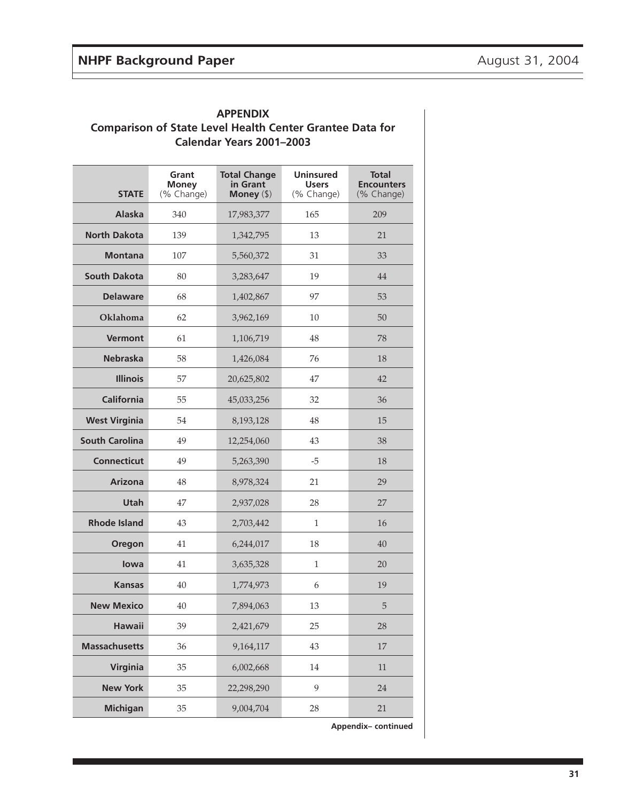| Calendar Years 2001-2003 |                                     |                                                 |                                                |                                                 |  |  |
|--------------------------|-------------------------------------|-------------------------------------------------|------------------------------------------------|-------------------------------------------------|--|--|
| <b>STATE</b>             | Grant<br><b>Money</b><br>(% Change) | <b>Total Change</b><br>in Grant<br>Money $(\$)$ | <b>Uninsured</b><br><b>Users</b><br>(% Change) | <b>Total</b><br><b>Encounters</b><br>(% Change) |  |  |
| <b>Alaska</b>            | 340                                 | 17,983,377                                      | 165                                            | 209                                             |  |  |
| <b>North Dakota</b>      | 139                                 | 1,342,795                                       | 13                                             | 21                                              |  |  |
| <b>Montana</b>           | 107                                 | 5,560,372                                       | 31                                             | 33                                              |  |  |
| <b>South Dakota</b>      | 80                                  | 3,283,647                                       | 19                                             | 44                                              |  |  |
| <b>Delaware</b>          | 68                                  | 1,402,867                                       | 97                                             | 53                                              |  |  |
| Oklahoma                 | 62                                  | 3,962,169                                       | 10                                             | 50                                              |  |  |
| <b>Vermont</b>           | 61                                  | 1,106,719                                       | 48                                             | 78                                              |  |  |
| <b>Nebraska</b>          | 58                                  | 1,426,084                                       | 76                                             | 18                                              |  |  |
| <b>Illinois</b>          | 57                                  | 20,625,802                                      | 47                                             | 42                                              |  |  |
| <b>California</b>        | 55                                  | 45,033,256                                      | 32                                             | 36                                              |  |  |
| <b>West Virginia</b>     | 54                                  | 8,193,128                                       | 48                                             | 15                                              |  |  |
| <b>South Carolina</b>    | 49                                  | 12,254,060                                      | 43                                             | 38                                              |  |  |
| <b>Connecticut</b>       | 49                                  | 5,263,390                                       | $-5$                                           | 18                                              |  |  |
| <b>Arizona</b>           | 48                                  | 8,978,324                                       | 21                                             | 29                                              |  |  |
| Utah                     | 47                                  | 2,937,028                                       | 28                                             | 27                                              |  |  |
| <b>Rhode Island</b>      | 43                                  | 2,703,442                                       | 1                                              | 16                                              |  |  |
| Oregon                   | 41                                  | 6,244,017                                       | 18                                             | 40                                              |  |  |
| lowa                     | 41                                  | 3,635,328                                       | 1                                              | 20                                              |  |  |
| Kansas                   | 40                                  | 1,774,973                                       | 6                                              | 19                                              |  |  |
| <b>New Mexico</b>        | 40                                  | 7,894,063                                       | 13                                             | 5                                               |  |  |
| <b>Hawaii</b>            | 39                                  | 2,421,679                                       | 25                                             | 28                                              |  |  |
| <b>Massachusetts</b>     | 36                                  | 9,164,117                                       | 43                                             | 17                                              |  |  |
| Virginia                 | 35                                  | 6,002,668                                       | 14                                             | $11\,$                                          |  |  |
| <b>New York</b>          | 35                                  | 22,298,290                                      | 9                                              | 24                                              |  |  |
| <b>Michigan</b>          | 35                                  | 9,004,704                                       | 28                                             | 21                                              |  |  |

**APPENDIX Comparison of State Level Health Center Grantee Data for**

**Appendix– continued**